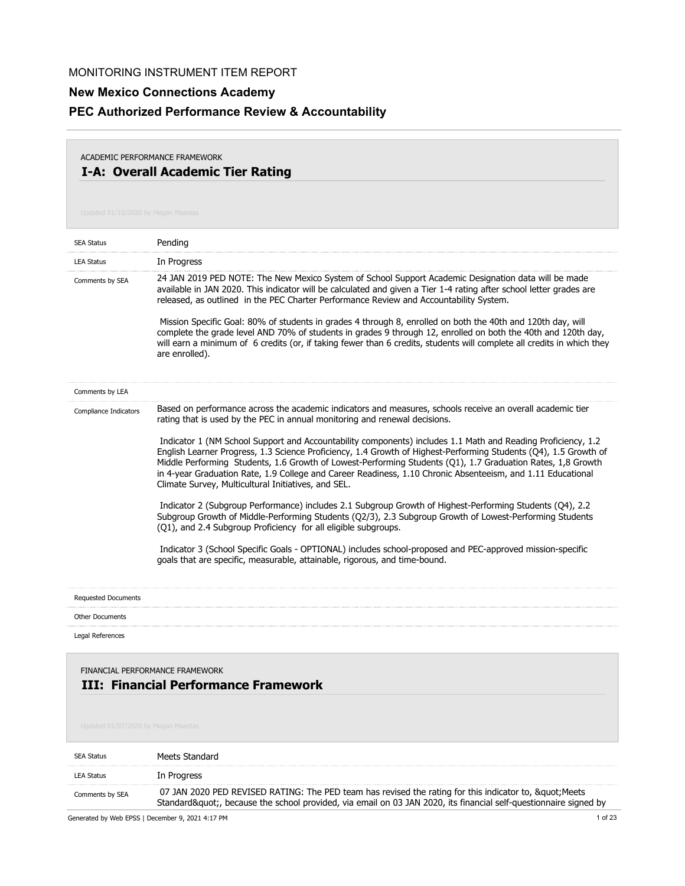# **New Mexico Connections Academy PEC Authorized Performance Review & Accountability**

## **I-A: Overall Academic Tier Rating** ACADEMIC PERFORMANCE FRAMEWORK

| <b>SEA Status</b>                   | Pending                                                                                                                                                                                                                                                                                                                                                                                                                                                                                                                                                                                                                                                                                           |
|-------------------------------------|---------------------------------------------------------------------------------------------------------------------------------------------------------------------------------------------------------------------------------------------------------------------------------------------------------------------------------------------------------------------------------------------------------------------------------------------------------------------------------------------------------------------------------------------------------------------------------------------------------------------------------------------------------------------------------------------------|
| <b>LEA Status</b>                   | In Progress                                                                                                                                                                                                                                                                                                                                                                                                                                                                                                                                                                                                                                                                                       |
| Comments by SEA                     | 24 JAN 2019 PED NOTE: The New Mexico System of School Support Academic Designation data will be made<br>available in JAN 2020. This indicator will be calculated and given a Tier 1-4 rating after school letter grades are<br>released, as outlined in the PEC Charter Performance Review and Accountability System.<br>Mission Specific Goal: 80% of students in grades 4 through 8, enrolled on both the 40th and 120th day, will<br>complete the grade level AND 70% of students in grades 9 through 12, enrolled on both the 40th and 120th day,<br>will earn a minimum of 6 credits (or, if taking fewer than 6 credits, students will complete all credits in which they<br>are enrolled). |
| Comments by LEA                     |                                                                                                                                                                                                                                                                                                                                                                                                                                                                                                                                                                                                                                                                                                   |
| Compliance Indicators               | Based on performance across the academic indicators and measures, schools receive an overall academic tier<br>rating that is used by the PEC in annual monitoring and renewal decisions.                                                                                                                                                                                                                                                                                                                                                                                                                                                                                                          |
|                                     | Indicator 1 (NM School Support and Accountability components) includes 1.1 Math and Reading Proficiency, 1.2<br>English Learner Progress, 1.3 Science Proficiency, 1.4 Growth of Highest-Performing Students (Q4), 1.5 Growth of<br>Middle Performing Students, 1.6 Growth of Lowest-Performing Students (Q1), 1.7 Graduation Rates, 1,8 Growth<br>in 4-year Graduation Rate, 1.9 College and Career Readiness, 1.10 Chronic Absenteeism, and 1.11 Educational<br>Climate Survey, Multicultural Initiatives, and SEL.                                                                                                                                                                             |
|                                     | Indicator 2 (Subgroup Performance) includes 2.1 Subgroup Growth of Highest-Performing Students (Q4), 2.2<br>Subgroup Growth of Middle-Performing Students (Q2/3), 2.3 Subgroup Growth of Lowest-Performing Students<br>(Q1), and 2.4 Subgroup Proficiency for all eligible subgroups.                                                                                                                                                                                                                                                                                                                                                                                                             |
|                                     | Indicator 3 (School Specific Goals - OPTIONAL) includes school-proposed and PEC-approved mission-specific<br>goals that are specific, measurable, attainable, rigorous, and time-bound.                                                                                                                                                                                                                                                                                                                                                                                                                                                                                                           |
| <b>Requested Documents</b>          |                                                                                                                                                                                                                                                                                                                                                                                                                                                                                                                                                                                                                                                                                                   |
| <b>Other Documents</b>              |                                                                                                                                                                                                                                                                                                                                                                                                                                                                                                                                                                                                                                                                                                   |
| Legal References                    |                                                                                                                                                                                                                                                                                                                                                                                                                                                                                                                                                                                                                                                                                                   |
| Updated 01/07/2020 by Megan Maestas | FINANCIAL PERFORMANCE FRAMEWORK<br><b>III: Financial Performance Framework</b>                                                                                                                                                                                                                                                                                                                                                                                                                                                                                                                                                                                                                    |
| <b>SEA Status</b>                   | Meets Standard                                                                                                                                                                                                                                                                                                                                                                                                                                                                                                                                                                                                                                                                                    |
| <b>LEA Status</b>                   | In Progress                                                                                                                                                                                                                                                                                                                                                                                                                                                                                                                                                                                                                                                                                       |
| Comments by SEA                     | 07 JAN 2020 PED REVISED RATING: The PED team has revised the rating for this indicator to, " Meets<br>Standard", because the school provided, via email on 03 JAN 2020, its financial self-questionnaire signed by                                                                                                                                                                                                                                                                                                                                                                                                                                                                                |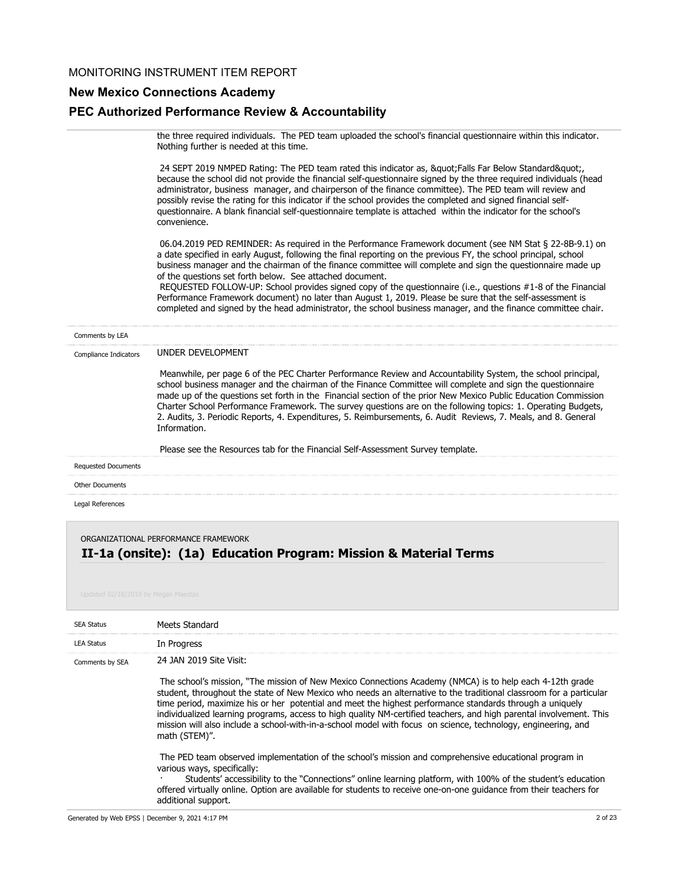## **New Mexico Connections Academy**

### **PEC Authorized Performance Review & Accountability**

the three required individuals. The PED team uploaded the school's financial questionnaire within this indicator. Nothing further is needed at this time.

24 SEPT 2019 NMPED Rating: The PED team rated this indicator as, "Falls Far Below Standard", because the school did not provide the financial self-questionnaire signed by the three required individuals (head administrator, business manager, and chairperson of the finance committee). The PED team will review and possibly revise the rating for this indicator if the school provides the completed and signed financial selfquestionnaire. A blank financial self-questionnaire template is attached within the indicator for the school's convenience.

 06.04.2019 PED REMINDER: As required in the Performance Framework document (see NM Stat § 22-8B-9.1) on a date specified in early August, following the final reporting on the previous FY, the school principal, school business manager and the chairman of the finance committee will complete and sign the questionnaire made up of the questions set forth below. See attached document.

 REQUESTED FOLLOW-UP: School provides signed copy of the questionnaire (i.e., questions #1-8 of the Financial Performance Framework document) no later than August 1, 2019. Please be sure that the self-assessment is completed and signed by the head administrator, the school business manager, and the finance committee chair.

| Comments by LEA                      |                                                                                                                                                                                                                                                                                                                                                                                                                                                                                                                                                                                                                                                                                     |
|--------------------------------------|-------------------------------------------------------------------------------------------------------------------------------------------------------------------------------------------------------------------------------------------------------------------------------------------------------------------------------------------------------------------------------------------------------------------------------------------------------------------------------------------------------------------------------------------------------------------------------------------------------------------------------------------------------------------------------------|
| Compliance Indicators                | UNDER DEVELOPMENT                                                                                                                                                                                                                                                                                                                                                                                                                                                                                                                                                                                                                                                                   |
|                                      | Meanwhile, per page 6 of the PEC Charter Performance Review and Accountability System, the school principal,<br>school business manager and the chairman of the Finance Committee will complete and sign the questionnaire<br>made up of the questions set forth in the Financial section of the prior New Mexico Public Education Commission<br>Charter School Performance Framework. The survey questions are on the following topics: 1. Operating Budgets,<br>2. Audits, 3. Periodic Reports, 4. Expenditures, 5. Reimbursements, 6. Audit Reviews, 7. Meals, and 8. General<br>Information.<br>Please see the Resources tab for the Financial Self-Assessment Survey template. |
| <b>Requested Documents</b>           |                                                                                                                                                                                                                                                                                                                                                                                                                                                                                                                                                                                                                                                                                     |
| <b>Other Documents</b>               |                                                                                                                                                                                                                                                                                                                                                                                                                                                                                                                                                                                                                                                                                     |
| Legal References                     |                                                                                                                                                                                                                                                                                                                                                                                                                                                                                                                                                                                                                                                                                     |
| ORGANIZATIONAL PERFORMANCE FRAMEWORK |                                                                                                                                                                                                                                                                                                                                                                                                                                                                                                                                                                                                                                                                                     |

# **II-1a (onsite): (1a) Education Program: Mission & Material Terms**

| <b>SEA Status</b> | Meets Standard                                                                                                                                                                                                                                                                                                                                                                                                                                                                                                                                                                                      |
|-------------------|-----------------------------------------------------------------------------------------------------------------------------------------------------------------------------------------------------------------------------------------------------------------------------------------------------------------------------------------------------------------------------------------------------------------------------------------------------------------------------------------------------------------------------------------------------------------------------------------------------|
| <b>LEA Status</b> | In Progress                                                                                                                                                                                                                                                                                                                                                                                                                                                                                                                                                                                         |
| Comments by SEA   | 24 JAN 2019 Site Visit:                                                                                                                                                                                                                                                                                                                                                                                                                                                                                                                                                                             |
|                   | The school's mission, "The mission of New Mexico Connections Academy (NMCA) is to help each 4-12th grade<br>student, throughout the state of New Mexico who needs an alternative to the traditional classroom for a particular<br>time period, maximize his or her potential and meet the highest performance standards through a uniquely<br>individualized learning programs, access to high quality NM-certified teachers, and high parental involvement. This<br>mission will also include a school-with-in-a-school model with focus on science, technology, engineering, and<br>math (STEM)". |
|                   | The PED team observed implementation of the school's mission and comprehensive educational program in<br>various ways, specifically:<br>Students' accessibility to the "Connections" online learning platform, with 100% of the student's education<br>offered virtually online. Option are available for students to receive one-on-one quidance from their teachers for<br>additional support.                                                                                                                                                                                                    |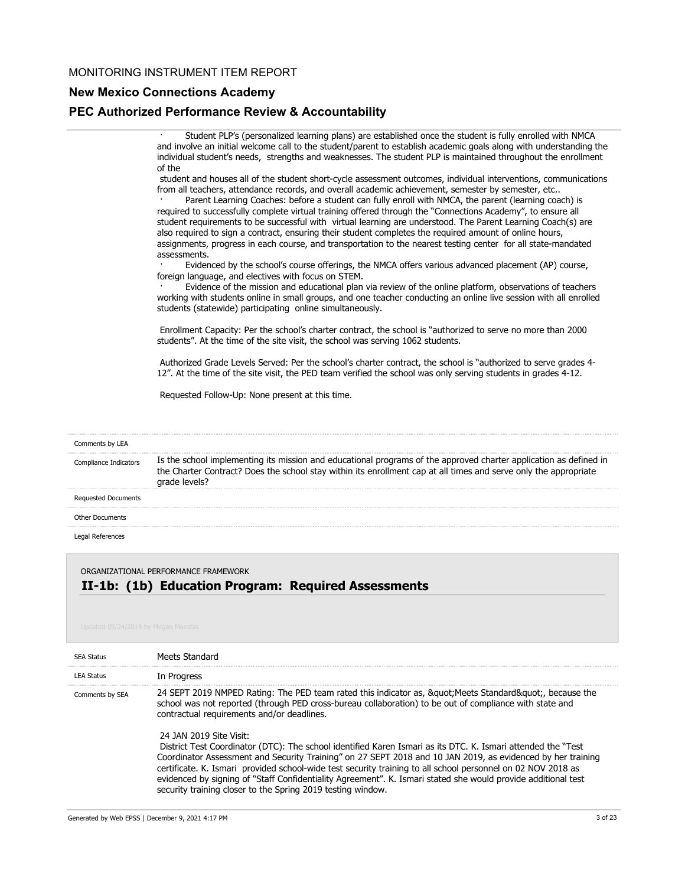## **New Mexico Connections Academy**

### **PEC Authorized Performance Review & Accountability**

Student PLP's (personalized learning plans) are established once the student is fully enrolled with NMCA and involve an initial welcome call to the student/parent to establish academic goals along with understanding the individual student's needs, strengths and weaknesses. The student PLP is maintained throughout the enrollment of the

 student and houses all of the student short-cycle assessment outcomes, individual interventions, communications from all teachers, attendance records, and overall academic achievement, semester by semester, etc..

Parent Learning Coaches: before a student can fully enroll with NMCA, the parent (learning coach) is required to successfully complete virtual training offered through the "Connections Academy", to ensure all student requirements to be successful with virtual learning are understood. The Parent Learning Coach(s) are also required to sign a contract, ensuring their student completes the required amount of online hours, assignments, progress in each course, and transportation to the nearest testing center for all state-mandated assessments.

Evidenced by the school's course offerings, the NMCA offers various advanced placement (AP) course, foreign language, and electives with focus on STEM.

Evidence of the mission and educational plan via review of the online platform, observations of teachers working with students online in small groups, and one teacher conducting an online live session with all enrolled students (statewide) participating online simultaneously.

 Enrollment Capacity: Per the school's charter contract, the school is "authorized to serve no more than 2000 students". At the time of the site visit, the school was serving 1062 students.

 Authorized Grade Levels Served: Per the school's charter contract, the school is "authorized to serve grades 4- 12". At the time of the site visit, the PED team verified the school was only serving students in grades 4-12.

Requested Follow-Up: None present at this time.

## Is the school implementing its mission and educational programs of the approved charter application as defined in the Charter Contract? Does the school stay within its enrollment cap at all times and serve only the appropriate grade levels? Comments by LEA Compliance Indicators Requested Documents Other Documents

Legal References

ORGANIZATIONAL PERFORMANCE FRAMEWORK

### **II-1b: (1b) Education Program: Required Assessments**

| <b>SEA Status</b> | Meets Standard                                                                                                                                                                                                                                                                                                                                                                                                                                                                                                                                                                                                                                                                                                                                                                                                             |
|-------------------|----------------------------------------------------------------------------------------------------------------------------------------------------------------------------------------------------------------------------------------------------------------------------------------------------------------------------------------------------------------------------------------------------------------------------------------------------------------------------------------------------------------------------------------------------------------------------------------------------------------------------------------------------------------------------------------------------------------------------------------------------------------------------------------------------------------------------|
| <b>LEA Status</b> | In Progress                                                                                                                                                                                                                                                                                                                                                                                                                                                                                                                                                                                                                                                                                                                                                                                                                |
| Comments by SEA   | 24 SEPT 2019 NMPED Rating: The PED team rated this indicator as, &guot Meets Standard&guot, because the<br>school was not reported (through PED cross-bureau collaboration) to be out of compliance with state and<br>contractual requirements and/or deadlines.<br>24 JAN 2019 Site Visit:<br>District Test Coordinator (DTC): The school identified Karen Ismari as its DTC. K. Ismari attended the "Test<br>Coordinator Assessment and Security Training" on 27 SEPT 2018 and 10 JAN 2019, as evidenced by her training<br>certificate. K. Ismari provided school-wide test security training to all school personnel on 02 NOV 2018 as<br>evidenced by signing of "Staff Confidentiality Agreement". K. Ismari stated she would provide additional test<br>security training closer to the Spring 2019 testing window. |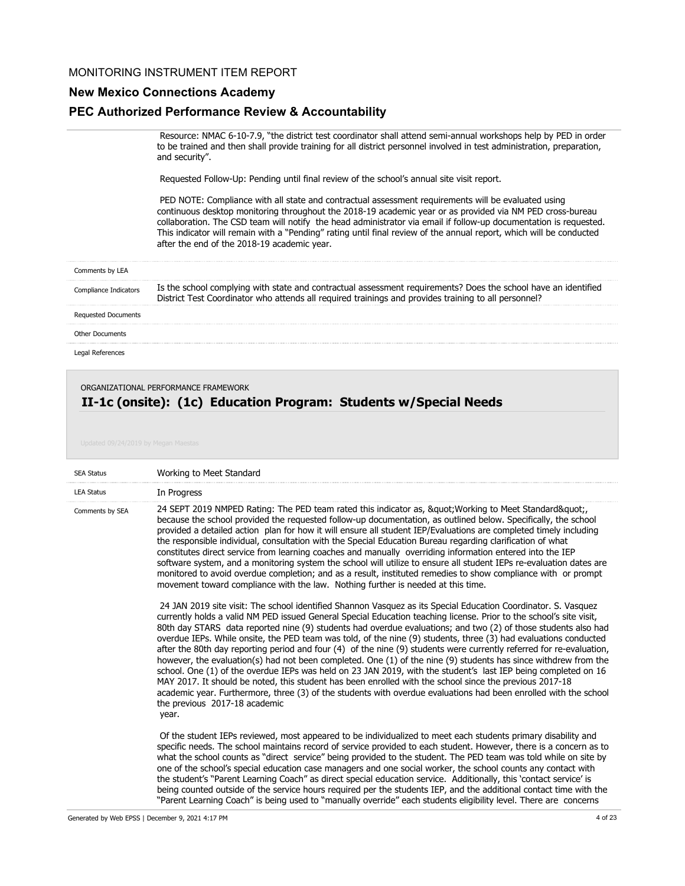## **New Mexico Connections Academy**

### **PEC Authorized Performance Review & Accountability**

 Resource: NMAC 6-10-7.9, "the district test coordinator shall attend semi-annual workshops help by PED in order to be trained and then shall provide training for all district personnel involved in test administration, preparation, and security".

Requested Follow-Up: Pending until final review of the school's annual site visit report.

 PED NOTE: Compliance with all state and contractual assessment requirements will be evaluated using continuous desktop monitoring throughout the 2018-19 academic year or as provided via NM PED cross-bureau collaboration. The CSD team will notify the head administrator via email if follow-up documentation is requested. This indicator will remain with a "Pending" rating until final review of the annual report, which will be conducted after the end of the 2018-19 academic year.

| Comments by LEA            |                                                                                                                                                                                                                        |
|----------------------------|------------------------------------------------------------------------------------------------------------------------------------------------------------------------------------------------------------------------|
| Compliance Indicators      | Is the school complying with state and contractual assessment requirements? Does the school have an identified<br>District Test Coordinator who attends all required trainings and provides training to all personnel? |
| <b>Requested Documents</b> |                                                                                                                                                                                                                        |
| Other Documents            |                                                                                                                                                                                                                        |

Legal References

#### ORGANIZATIONAL PERFORMANCE FRAMEWORK

## **II-1c (onsite): (1c) Education Program: Students w/Special Needs**

| <b>SEA Status</b> | Working to Meet Standard                                                                                                                                                                                                                                                                                                                                                                                                                                                                                                                                                                                                                                                                                                                                                                                                                                                                                                                                                                                                                                                                                          |
|-------------------|-------------------------------------------------------------------------------------------------------------------------------------------------------------------------------------------------------------------------------------------------------------------------------------------------------------------------------------------------------------------------------------------------------------------------------------------------------------------------------------------------------------------------------------------------------------------------------------------------------------------------------------------------------------------------------------------------------------------------------------------------------------------------------------------------------------------------------------------------------------------------------------------------------------------------------------------------------------------------------------------------------------------------------------------------------------------------------------------------------------------|
| <b>LEA Status</b> | In Progress                                                                                                                                                                                                                                                                                                                                                                                                                                                                                                                                                                                                                                                                                                                                                                                                                                                                                                                                                                                                                                                                                                       |
| Comments by SEA   | 24 SEPT 2019 NMPED Rating: The PED team rated this indicator as, &guot Working to Meet Standard&guot<br>because the school provided the requested follow-up documentation, as outlined below. Specifically, the school<br>provided a detailed action plan for how it will ensure all student IEP/Evaluations are completed timely including<br>the responsible individual, consultation with the Special Education Bureau regarding clarification of what<br>constitutes direct service from learning coaches and manually overriding information entered into the IEP<br>software system, and a monitoring system the school will utilize to ensure all student IEPs re-evaluation dates are<br>monitored to avoid overdue completion; and as a result, instituted remedies to show compliance with or prompt<br>movement toward compliance with the law. Nothing further is needed at this time.                                                                                                                                                                                                                |
|                   | 24 JAN 2019 site visit: The school identified Shannon Vasquez as its Special Education Coordinator. S. Vasquez<br>currently holds a valid NM PED issued General Special Education teaching license. Prior to the school's site visit,<br>80th day STARS data reported nine (9) students had overdue evaluations; and two (2) of those students also had<br>overdue IEPs. While onsite, the PED team was told, of the nine (9) students, three (3) had evaluations conducted<br>after the 80th day reporting period and four (4) of the nine (9) students were currently referred for re-evaluation,<br>however, the evaluation(s) had not been completed. One (1) of the nine (9) students has since withdrew from the<br>school. One (1) of the overdue IEPs was held on 23 JAN 2019, with the student's last IEP being completed on 16<br>MAY 2017. It should be noted, this student has been enrolled with the school since the previous 2017-18<br>academic year. Furthermore, three (3) of the students with overdue evaluations had been enrolled with the school<br>the previous 2017-18 academic<br>year. |
|                   | Of the student IEPs reviewed, most appeared to be individualized to meet each students primary disability and<br>specific needs. The school maintains record of service provided to each student. However, there is a concern as to<br>what the school counts as "direct service" being provided to the student. The PED team was told while on site by<br>one of the school's special education case managers and one social worker, the school counts any contact with<br>the student's "Parent Learning Coach" as direct special education service. Additionally, this 'contact service' is<br>being counted outside of the service hours required per the students IEP, and the additional contact time with the                                                                                                                                                                                                                                                                                                                                                                                              |

"Parent Learning Coach" is being used to "manually override" each students eligibility level. There are concerns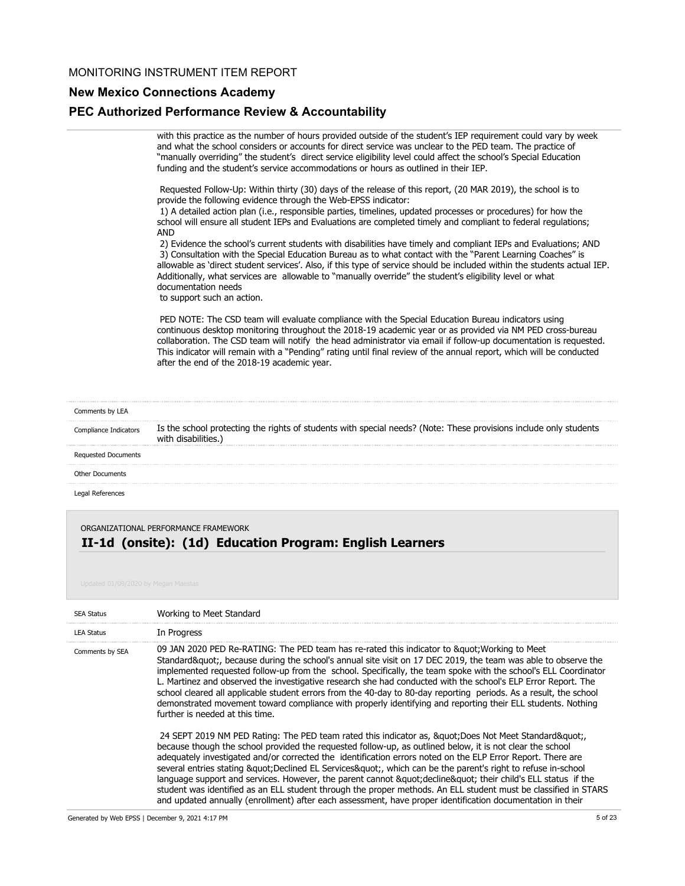## **New Mexico Connections Academy**

### **PEC Authorized Performance Review & Accountability**

with this practice as the number of hours provided outside of the student's IEP requirement could vary by week and what the school considers or accounts for direct service was unclear to the PED team. The practice of "manually overriding" the student's direct service eligibility level could affect the school's Special Education funding and the student's service accommodations or hours as outlined in their IEP.

 Requested Follow-Up: Within thirty (30) days of the release of this report, (20 MAR 2019), the school is to provide the following evidence through the Web-EPSS indicator:

 1) A detailed action plan (i.e., responsible parties, timelines, updated processes or procedures) for how the school will ensure all student IEPs and Evaluations are completed timely and compliant to federal regulations; AND

 2) Evidence the school's current students with disabilities have timely and compliant IEPs and Evaluations; AND 3) Consultation with the Special Education Bureau as to what contact with the "Parent Learning Coaches" is allowable as 'direct student services'. Also, if this type of service should be included within the students actual IEP. Additionally, what services are allowable to "manually override" the student's eligibility level or what documentation needs

to support such an action.

 PED NOTE: The CSD team will evaluate compliance with the Special Education Bureau indicators using continuous desktop monitoring throughout the 2018-19 academic year or as provided via NM PED cross-bureau collaboration. The CSD team will notify the head administrator via email if follow-up documentation is requested. This indicator will remain with a "Pending" rating until final review of the annual report, which will be conducted after the end of the 2018-19 academic year.

| Comments by LEA            |                                                                                                                                         |
|----------------------------|-----------------------------------------------------------------------------------------------------------------------------------------|
| Compliance Indicators      | Is the school protecting the rights of students with special needs? (Note: These provisions include only students<br>with disabilities. |
| <b>Requested Documents</b> |                                                                                                                                         |
| Other Documents            |                                                                                                                                         |
| Legal References           |                                                                                                                                         |

## **II-1d (onsite): (1d) Education Program: English Learners** ORGANIZATIONAL PERFORMANCE FRAMEWORK

| <b>SEA Status</b> | Working to Meet Standard                                                                                                                                                                                                                                                                                                                                                                                                                                                                                                                                                                                                                                                                                                                                                              |
|-------------------|---------------------------------------------------------------------------------------------------------------------------------------------------------------------------------------------------------------------------------------------------------------------------------------------------------------------------------------------------------------------------------------------------------------------------------------------------------------------------------------------------------------------------------------------------------------------------------------------------------------------------------------------------------------------------------------------------------------------------------------------------------------------------------------|
| <b>LEA Status</b> | In Progress                                                                                                                                                                                                                                                                                                                                                                                                                                                                                                                                                                                                                                                                                                                                                                           |
| Comments by SEA   | 09 JAN 2020 PED Re-RATING: The PED team has re-rated this indicator to " Working to Meet<br>Standard", because during the school's annual site visit on 17 DEC 2019, the team was able to observe the<br>implemented requested follow-up from the school. Specifically, the team spoke with the school's ELL Coordinator<br>L. Martinez and observed the investigative research she had conducted with the school's ELP Error Report. The<br>school cleared all applicable student errors from the 40-day to 80-day reporting periods. As a result, the school<br>demonstrated movement toward compliance with properly identifying and reporting their ELL students. Nothing<br>further is needed at this time.                                                                      |
|                   | 24 SEPT 2019 NM PED Rating: The PED team rated this indicator as, " Does Not Meet Standard"<br>because though the school provided the requested follow-up, as outlined below, it is not clear the school<br>adequately investigated and/or corrected the identification errors noted on the ELP Error Report. There are<br>several entries stating & quot; Declined EL Services & quot;, which can be the parent's right to refuse in-school<br>language support and services. However, the parent cannot " decline" their child's ELL status if the<br>student was identified as an ELL student through the proper methods. An ELL student must be classified in STARS<br>and updated annually (enrollment) after each assessment, have proper identification documentation in their |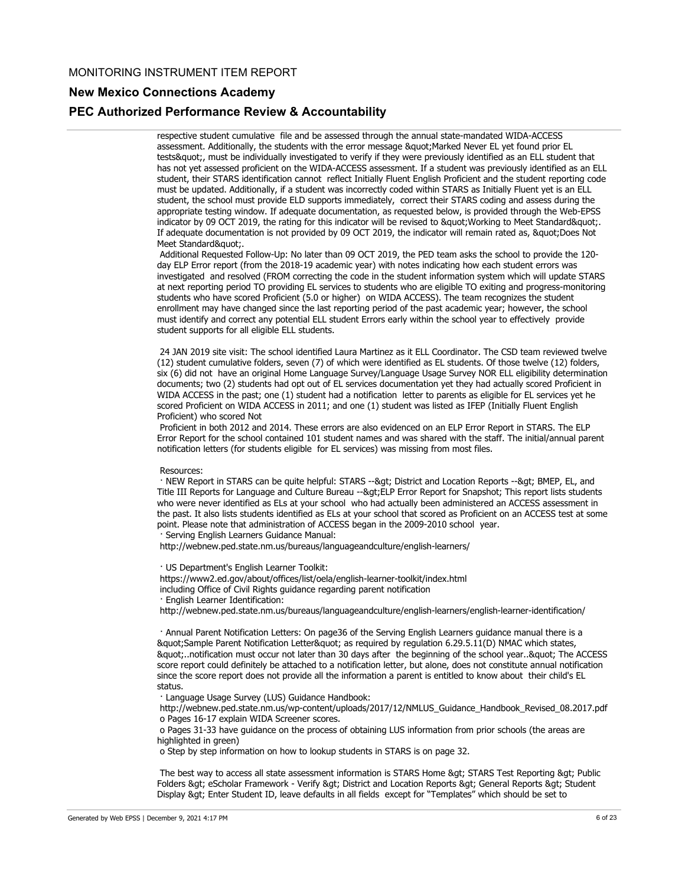### **New Mexico Connections Academy**

#### **PEC Authorized Performance Review & Accountability**

respective student cumulative file and be assessed through the annual state-mandated WIDA-ACCESS assessment. Additionally, the students with the error message " Marked Never EL yet found prior EL tests&quot:, must be individually investigated to verify if they were previously identified as an ELL student that has not yet assessed proficient on the WIDA-ACCESS assessment. If a student was previously identified as an ELL student, their STARS identification cannot reflect Initially Fluent English Proficient and the student reporting code must be updated. Additionally, if a student was incorrectly coded within STARS as Initially Fluent yet is an ELL student, the school must provide ELD supports immediately, correct their STARS coding and assess during the appropriate testing window. If adequate documentation, as requested below, is provided through the Web-EPSS indicator by 09 OCT 2019, the rating for this indicator will be revised to " Working to Meet Standard". If adequate documentation is not provided by 09 OCT 2019, the indicator will remain rated as, "Does Not Meet Standard&quot:.

 Additional Requested Follow-Up: No later than 09 OCT 2019, the PED team asks the school to provide the 120 day ELP Error report (from the 2018-19 academic year) with notes indicating how each student errors was investigated and resolved (FROM correcting the code in the student information system which will update STARS at next reporting period TO providing EL services to students who are eligible TO exiting and progress-monitoring students who have scored Proficient (5.0 or higher) on WIDA ACCESS). The team recognizes the student enrollment may have changed since the last reporting period of the past academic year; however, the school must identify and correct any potential ELL student Errors early within the school year to effectively provide student supports for all eligible ELL students.

 24 JAN 2019 site visit: The school identified Laura Martinez as it ELL Coordinator. The CSD team reviewed twelve (12) student cumulative folders, seven (7) of which were identified as EL students. Of those twelve (12) folders, six (6) did not have an original Home Language Survey/Language Usage Survey NOR ELL eligibility determination documents; two (2) students had opt out of EL services documentation yet they had actually scored Proficient in WIDA ACCESS in the past; one (1) student had a notification letter to parents as eligible for EL services yet he scored Proficient on WIDA ACCESS in 2011; and one (1) student was listed as IFEP (Initially Fluent English Proficient) who scored Not

 Proficient in both 2012 and 2014. These errors are also evidenced on an ELP Error Report in STARS. The ELP Error Report for the school contained 101 student names and was shared with the staff. The initial/annual parent notification letters (for students eligible for EL services) was missing from most files.

#### Resources:

· NEW Report in STARS can be quite helpful: STARS --> District and Location Reports --> BMEP, EL, and Title III Reports for Language and Culture Bureau -->ELP Error Report for Snapshot; This report lists students who were never identified as ELs at your school who had actually been administered an ACCESS assessment in the past. It also lists students identified as ELs at your school that scored as Proficient on an ACCESS test at some point. Please note that administration of ACCESS began in the 2009-2010 school year. · Serving English Learners Guidance Manual:

http://webnew.ped.state.nm.us/bureaus/languageandculture/english-learners/

· US Department's English Learner Toolkit:

https://www2.ed.gov/about/offices/list/oela/english-learner-toolkit/index.html

including Office of Civil Rights guidance regarding parent notification

· English Learner Identification:

http://webnew.ped.state.nm.us/bureaus/languageandculture/english-learners/english-learner-identification/

 · Annual Parent Notification Letters: On page36 of the Serving English Learners guidance manual there is a " Sample Parent Notification Letter " as required by regulation 6.29.5.11(D) NMAC which states, "..notification must occur not later than 30 days after the beginning of the school year.." The ACCESS score report could definitely be attached to a notification letter, but alone, does not constitute annual notification since the score report does not provide all the information a parent is entitled to know about their child's EL status.

· Language Usage Survey (LUS) Guidance Handbook:

 http://webnew.ped.state.nm.us/wp-content/uploads/2017/12/NMLUS\_Guidance\_Handbook\_Revised\_08.2017.pdf o Pages 16-17 explain WIDA Screener scores.

 o Pages 31-33 have guidance on the process of obtaining LUS information from prior schools (the areas are highlighted in green)

o Step by step information on how to lookup students in STARS is on page 32.

The best way to access all state assessment information is STARS Home &qt; STARS Test Reporting &qt; Public Folders > eScholar Framework - Verify > District and Location Reports > General Reports > Student Display > Enter Student ID, leave defaults in all fields except for "Templates" which should be set to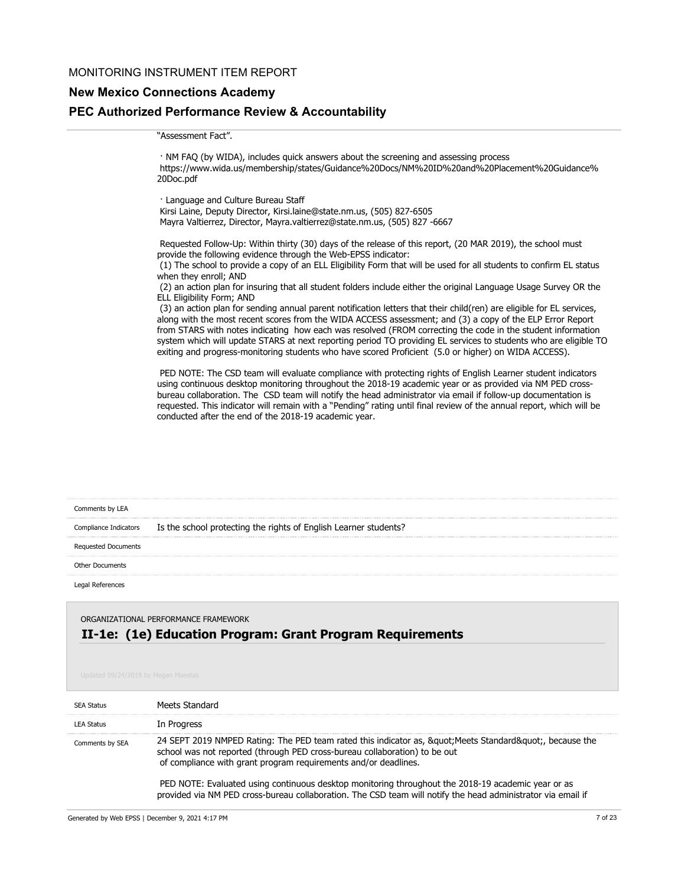## **New Mexico Connections Academy**

### **PEC Authorized Performance Review & Accountability**

#### "Assessment Fact".

 · NM FAQ (by WIDA), includes quick answers about the screening and assessing process https://www.wida.us/membership/states/Guidance%20Docs/NM%20ID%20and%20Placement%20Guidance% 20Doc.pdf

 · Language and Culture Bureau Staff Kirsi Laine, Deputy Director, Kirsi.laine@state.nm.us, (505) 827-6505 Mayra Valtierrez, Director, Mayra.valtierrez@state.nm.us, (505) 827 -6667

 Requested Follow-Up: Within thirty (30) days of the release of this report, (20 MAR 2019), the school must provide the following evidence through the Web-EPSS indicator:

 (1) The school to provide a copy of an ELL Eligibility Form that will be used for all students to confirm EL status when they enroll; AND

 (2) an action plan for insuring that all student folders include either the original Language Usage Survey OR the ELL Eligibility Form; AND

 (3) an action plan for sending annual parent notification letters that their child(ren) are eligible for EL services, along with the most recent scores from the WIDA ACCESS assessment; and (3) a copy of the ELP Error Report from STARS with notes indicating how each was resolved (FROM correcting the code in the student information system which will update STARS at next reporting period TO providing EL services to students who are eligible TO exiting and progress-monitoring students who have scored Proficient (5.0 or higher) on WIDA ACCESS).

 PED NOTE: The CSD team will evaluate compliance with protecting rights of English Learner student indicators using continuous desktop monitoring throughout the 2018-19 academic year or as provided via NM PED crossbureau collaboration. The CSD team will notify the head administrator via email if follow-up documentation is requested. This indicator will remain with a "Pending" rating until final review of the annual report, which will be conducted after the end of the 2018-19 academic year.

| Comments by LEA            |                                                                  |
|----------------------------|------------------------------------------------------------------|
| Compliance Indicators      | Is the school protecting the rights of English Learner students? |
| <b>Requested Documents</b> |                                                                  |
| Other Documents            |                                                                  |
| Legal References           |                                                                  |

## **II-1e: (1e) Education Program: Grant Program Requirements** ORGANIZATIONAL PERFORMANCE FRAMEWORK

| <b>SEA Status</b> | Meets Standard                                                                                                                                                                                                                                   |
|-------------------|--------------------------------------------------------------------------------------------------------------------------------------------------------------------------------------------------------------------------------------------------|
| <b>LEA Status</b> | In Progress                                                                                                                                                                                                                                      |
| Comments by SEA   | 24 SEPT 2019 NMPED Rating: The PED team rated this indicator as, " Meets Standard", because the<br>school was not reported (through PED cross-bureau collaboration) to be out<br>of compliance with grant program requirements and/or deadlines. |
|                   | PED NOTE: Evaluated using continuous desktop monitoring throughout the 2018-19 academic year or as<br>provided via NM PED cross-bureau collaboration. The CSD team will notify the head administrator via email if                               |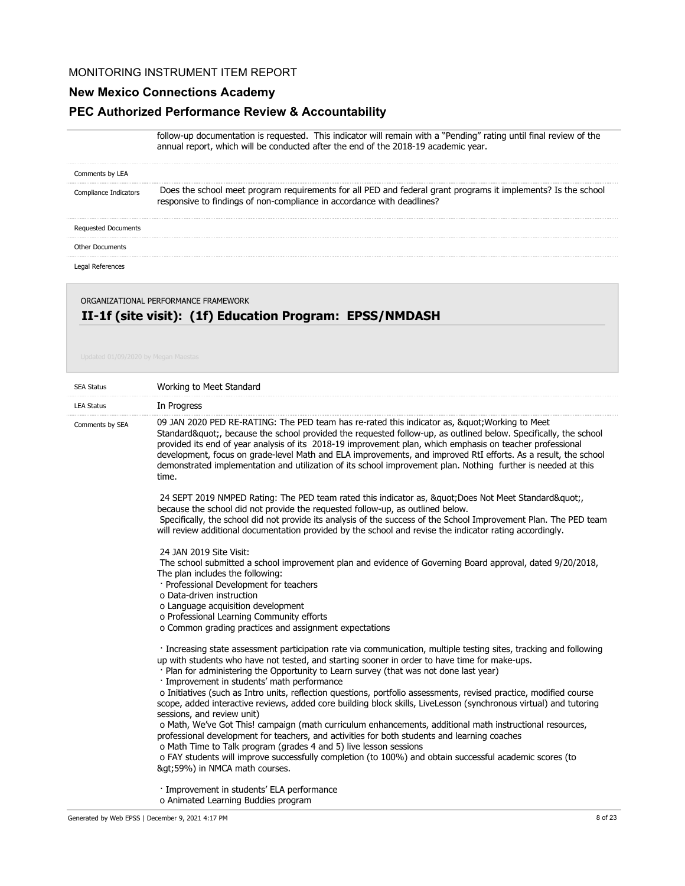## **New Mexico Connections Academy**

## **PEC Authorized Performance Review & Accountability**

follow-up documentation is requested. This indicator will remain with a "Pending" rating until final review of the annual report, which will be conducted after the end of the 2018-19 academic year.

| Comments by LEA       |                                                                                                                                                                                         |
|-----------------------|-----------------------------------------------------------------------------------------------------------------------------------------------------------------------------------------|
| Compliance Indicators | Does the school meet program requirements for all PED and federal grant programs it implements? Is the school<br>responsive to findings of non-compliance in accordance with deadlines? |
| Requested Documents   |                                                                                                                                                                                         |
| Other Documents       |                                                                                                                                                                                         |
|                       |                                                                                                                                                                                         |

## **II-1f (site visit): (1f) Education Program: EPSS/NMDASH** ORGANIZATIONAL PERFORMANCE FRAMEWORK

| <b>SEA Status</b> | Working to Meet Standard                                                                                                                                                                                                                                                                                                                                                                                                                                                                                                                                                                                                                                                                                                                                                                                                                                                                                                                                                                                                                                         |
|-------------------|------------------------------------------------------------------------------------------------------------------------------------------------------------------------------------------------------------------------------------------------------------------------------------------------------------------------------------------------------------------------------------------------------------------------------------------------------------------------------------------------------------------------------------------------------------------------------------------------------------------------------------------------------------------------------------------------------------------------------------------------------------------------------------------------------------------------------------------------------------------------------------------------------------------------------------------------------------------------------------------------------------------------------------------------------------------|
| <b>LEA Status</b> | In Progress                                                                                                                                                                                                                                                                                                                                                                                                                                                                                                                                                                                                                                                                                                                                                                                                                                                                                                                                                                                                                                                      |
| Comments by SEA   | 09 JAN 2020 PED RE-RATING: The PED team has re-rated this indicator as, " Working to Meet<br>Standard", because the school provided the requested follow-up, as outlined below. Specifically, the school<br>provided its end of year analysis of its 2018-19 improvement plan, which emphasis on teacher professional<br>development, focus on grade-level Math and ELA improvements, and improved RtI efforts. As a result, the school<br>demonstrated implementation and utilization of its school improvement plan. Nothing further is needed at this<br>time.                                                                                                                                                                                                                                                                                                                                                                                                                                                                                                |
|                   | 24 SEPT 2019 NMPED Rating: The PED team rated this indicator as, " Does Not Meet Standard"<br>because the school did not provide the requested follow-up, as outlined below.<br>Specifically, the school did not provide its analysis of the success of the School Improvement Plan. The PED team<br>will review additional documentation provided by the school and revise the indicator rating accordingly.                                                                                                                                                                                                                                                                                                                                                                                                                                                                                                                                                                                                                                                    |
|                   | 24 JAN 2019 Site Visit:<br>The school submitted a school improvement plan and evidence of Governing Board approval, dated 9/20/2018,<br>The plan includes the following:<br>· Professional Development for teachers<br>o Data-driven instruction<br>o Language acquisition development<br>o Professional Learning Community efforts<br>o Common grading practices and assignment expectations                                                                                                                                                                                                                                                                                                                                                                                                                                                                                                                                                                                                                                                                    |
|                   | · Increasing state assessment participation rate via communication, multiple testing sites, tracking and following<br>up with students who have not tested, and starting sooner in order to have time for make-ups.<br>· Plan for administering the Opportunity to Learn survey (that was not done last year)<br>· Improvement in students' math performance<br>o Initiatives (such as Intro units, reflection questions, portfolio assessments, revised practice, modified course<br>scope, added interactive reviews, added core building block skills, LiveLesson (synchronous virtual) and tutoring<br>sessions, and review unit)<br>o Math, We've Got This! campaign (math curriculum enhancements, additional math instructional resources,<br>professional development for teachers, and activities for both students and learning coaches<br>o Math Time to Talk program (grades 4 and 5) live lesson sessions<br>o FAY students will improve successfully completion (to 100%) and obtain successful academic scores (to<br>>59%) in NMCA math courses. |
|                   | · Improvement in students' ELA performance                                                                                                                                                                                                                                                                                                                                                                                                                                                                                                                                                                                                                                                                                                                                                                                                                                                                                                                                                                                                                       |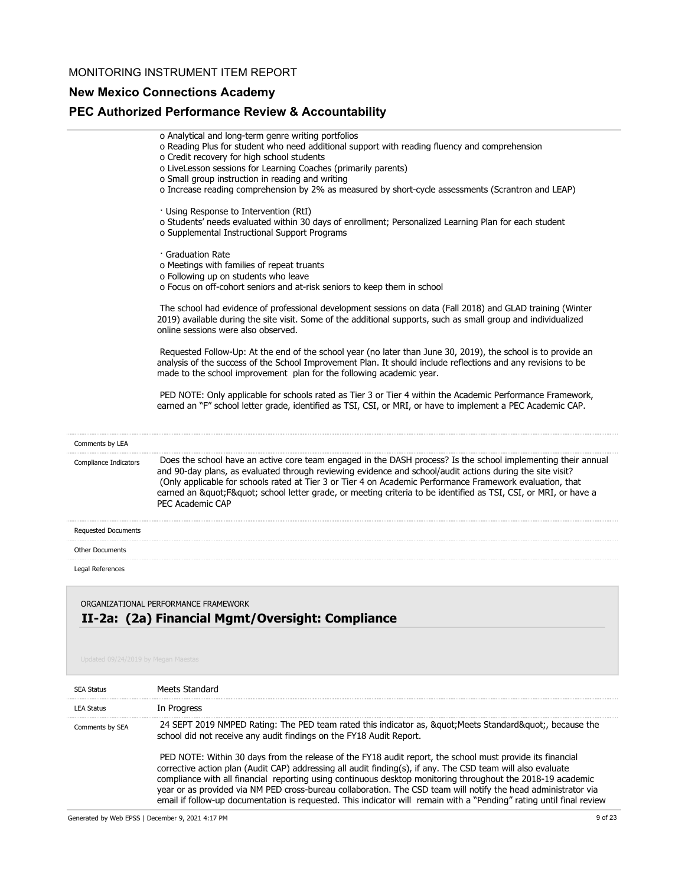# **New Mexico Connections Academy**

# **PEC Authorized Performance Review & Accountability**

|                            | o Analytical and long-term genre writing portfolios<br>o Reading Plus for student who need additional support with reading fluency and comprehension<br>o Credit recovery for high school students<br>o LiveLesson sessions for Learning Coaches (primarily parents)<br>o Small group instruction in reading and writing<br>o Increase reading comprehension by 2% as measured by short-cycle assessments (Scrantron and LEAP)<br>· Using Response to Intervention (RtI)<br>o Students' needs evaluated within 30 days of enrollment; Personalized Learning Plan for each student<br>o Supplemental Instructional Support Programs<br>· Graduation Rate<br>o Meetings with families of repeat truants<br>o Following up on students who leave<br>o Focus on off-cohort seniors and at-risk seniors to keep them in school |
|----------------------------|---------------------------------------------------------------------------------------------------------------------------------------------------------------------------------------------------------------------------------------------------------------------------------------------------------------------------------------------------------------------------------------------------------------------------------------------------------------------------------------------------------------------------------------------------------------------------------------------------------------------------------------------------------------------------------------------------------------------------------------------------------------------------------------------------------------------------|
|                            | The school had evidence of professional development sessions on data (Fall 2018) and GLAD training (Winter<br>2019) available during the site visit. Some of the additional supports, such as small group and individualized<br>online sessions were also observed.                                                                                                                                                                                                                                                                                                                                                                                                                                                                                                                                                       |
|                            | Requested Follow-Up: At the end of the school year (no later than June 30, 2019), the school is to provide an<br>analysis of the success of the School Improvement Plan. It should include reflections and any revisions to be<br>made to the school improvement plan for the following academic year.                                                                                                                                                                                                                                                                                                                                                                                                                                                                                                                    |
|                            | PED NOTE: Only applicable for schools rated as Tier 3 or Tier 4 within the Academic Performance Framework,<br>earned an "F" school letter grade, identified as TSI, CSI, or MRI, or have to implement a PEC Academic CAP.                                                                                                                                                                                                                                                                                                                                                                                                                                                                                                                                                                                                 |
| Comments by LEA            |                                                                                                                                                                                                                                                                                                                                                                                                                                                                                                                                                                                                                                                                                                                                                                                                                           |
| Compliance Indicators      | Does the school have an active core team engaged in the DASH process? Is the school implementing their annual<br>and 90-day plans, as evaluated through reviewing evidence and school/audit actions during the site visit?<br>(Only applicable for schools rated at Tier 3 or Tier 4 on Academic Performance Framework evaluation, that<br>earned an "F" school letter grade, or meeting criteria to be identified as TSI, CSI, or MRI, or have a<br>PEC Academic CAP                                                                                                                                                                                                                                                                                                                                                     |
| <b>Requested Documents</b> |                                                                                                                                                                                                                                                                                                                                                                                                                                                                                                                                                                                                                                                                                                                                                                                                                           |
| <b>Other Documents</b>     |                                                                                                                                                                                                                                                                                                                                                                                                                                                                                                                                                                                                                                                                                                                                                                                                                           |
| Legal References           |                                                                                                                                                                                                                                                                                                                                                                                                                                                                                                                                                                                                                                                                                                                                                                                                                           |
|                            |                                                                                                                                                                                                                                                                                                                                                                                                                                                                                                                                                                                                                                                                                                                                                                                                                           |

# **II-2a: (2a) Financial Mgmt/Oversight: Compliance** ORGANIZATIONAL PERFORMANCE FRAMEWORK

| <b>SEA Status</b> | Meets Standard                                                                                                                                                                                                                                                                                                                                                                                                                                                                                                                                                                    |
|-------------------|-----------------------------------------------------------------------------------------------------------------------------------------------------------------------------------------------------------------------------------------------------------------------------------------------------------------------------------------------------------------------------------------------------------------------------------------------------------------------------------------------------------------------------------------------------------------------------------|
| <b>LEA Status</b> | In Progress                                                                                                                                                                                                                                                                                                                                                                                                                                                                                                                                                                       |
| Comments by SEA   | 24 SEPT 2019 NMPED Rating: The PED team rated this indicator as, &guot Meets Standard&guot, because the<br>school did not receive any audit findings on the FY18 Audit Report.                                                                                                                                                                                                                                                                                                                                                                                                    |
|                   | PED NOTE: Within 30 days from the release of the FY18 audit report, the school must provide its financial<br>corrective action plan (Audit CAP) addressing all audit finding(s), if any. The CSD team will also evaluate<br>compliance with all financial reporting using continuous desktop monitoring throughout the 2018-19 academic<br>year or as provided via NM PED cross-bureau collaboration. The CSD team will notify the head administrator via<br>email if follow-up documentation is requested. This indicator will remain with a "Pending" rating until final review |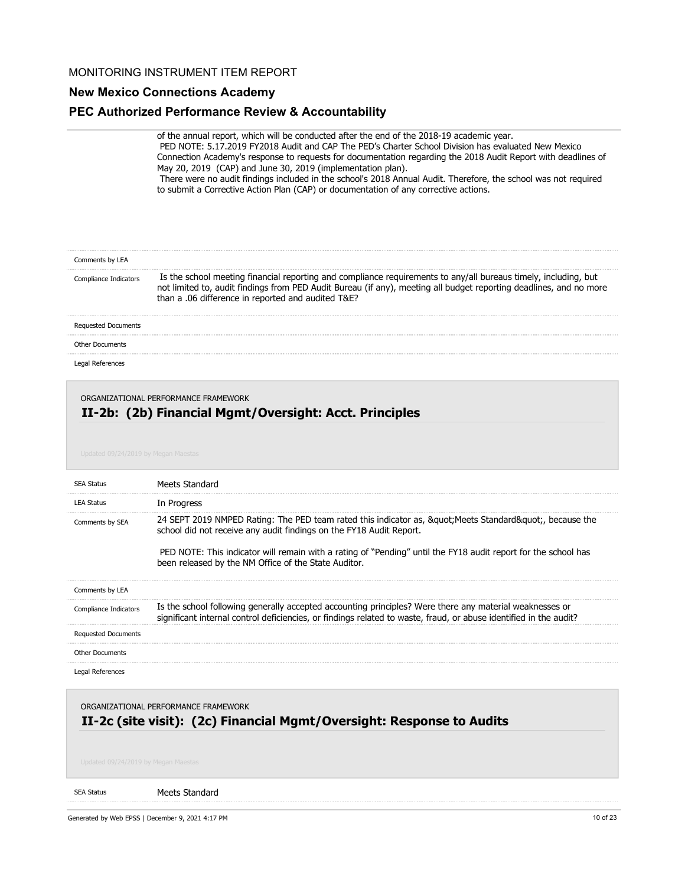## **New Mexico Connections Academy**

## **PEC Authorized Performance Review & Accountability**

of the annual report, which will be conducted after the end of the 2018-19 academic year. PED NOTE: 5.17.2019 FY2018 Audit and CAP The PED's Charter School Division has evaluated New Mexico Connection Academy's response to requests for documentation regarding the 2018 Audit Report with deadlines of May 20, 2019 (CAP) and June 30, 2019 (implementation plan). There were no audit findings included in the school's 2018 Annual Audit. Therefore, the school was not required to submit a Corrective Action Plan (CAP) or documentation of any corrective actions.

| Comments by LEA       |                                                                                                                                                                                                                                                                                             |
|-----------------------|---------------------------------------------------------------------------------------------------------------------------------------------------------------------------------------------------------------------------------------------------------------------------------------------|
| Compliance Indicators | Is the school meeting financial reporting and compliance requirements to any/all bureaus timely, including, but<br>not limited to, audit findings from PED Audit Bureau (if any), meeting all budget reporting deadlines, and no more<br>than a .06 difference in reported and audited T&E? |
| Requested Documents   |                                                                                                                                                                                                                                                                                             |
| Other Documents       |                                                                                                                                                                                                                                                                                             |
|                       |                                                                                                                                                                                                                                                                                             |

Legal References

ORGANIZATIONAL PERFORMANCE FRAMEWORK

## **II-2b: (2b) Financial Mgmt/Oversight: Acct. Principles**

| <b>SEA Status</b>          | Meets Standard                                                                                                                                                                                                                                                                                                                                           |
|----------------------------|----------------------------------------------------------------------------------------------------------------------------------------------------------------------------------------------------------------------------------------------------------------------------------------------------------------------------------------------------------|
| <b>LEA Status</b>          | In Progress                                                                                                                                                                                                                                                                                                                                              |
| Comments by SEA            | 24 SEPT 2019 NMPED Rating: The PED team rated this indicator as, &guot Meets Standard&guot, because the<br>school did not receive any audit findings on the FY18 Audit Report.<br>PED NOTE: This indicator will remain with a rating of "Pending" until the FY18 audit report for the school has<br>been released by the NM Office of the State Auditor. |
| Comments by LEA            |                                                                                                                                                                                                                                                                                                                                                          |
| Compliance Indicators      | Is the school following generally accepted accounting principles? Were there any material weaknesses or<br>significant internal control deficiencies, or findings related to waste, fraud, or abuse identified in the audit?                                                                                                                             |
| <b>Requested Documents</b> |                                                                                                                                                                                                                                                                                                                                                          |
| <b>Other Documents</b>     |                                                                                                                                                                                                                                                                                                                                                          |
| Legal References           |                                                                                                                                                                                                                                                                                                                                                          |

ORGANIZATIONAL PERFORMANCE FRAMEWORK

## **II-2c (site visit): (2c) Financial Mgmt/Oversight: Response to Audits**

#### SEA Status

Meets Standard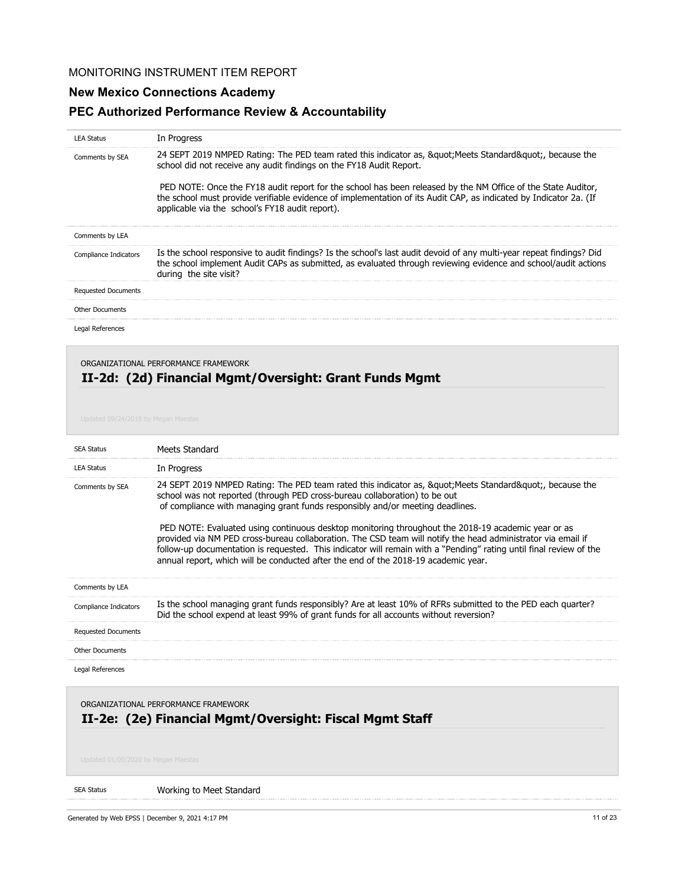# **New Mexico Connections Academy**

# **PEC Authorized Performance Review & Accountability**

| <b>LEA Status</b>          | In Progress                                                                                                                                                                                                                                                                          |
|----------------------------|--------------------------------------------------------------------------------------------------------------------------------------------------------------------------------------------------------------------------------------------------------------------------------------|
| Comments by SEA            | 24 SEPT 2019 NMPED Rating: The PED team rated this indicator as, " Meets Standard", because the<br>school did not receive any audit findings on the FY18 Audit Report.                                                                                                               |
|                            | PED NOTE: Once the FY18 audit report for the school has been released by the NM Office of the State Auditor,<br>the school must provide verifiable evidence of implementation of its Audit CAP, as indicated by Indicator 2a. (If<br>applicable via the school's FY18 audit report). |
| Comments by LEA            |                                                                                                                                                                                                                                                                                      |
| Compliance Indicators      | Is the school responsive to audit findings? Is the school's last audit devoid of any multi-year repeat findings? Did<br>the school implement Audit CAPs as submitted, as evaluated through reviewing evidence and school/audit actions<br>during the site visit?                     |
| <b>Requested Documents</b> |                                                                                                                                                                                                                                                                                      |
| <b>Other Documents</b>     |                                                                                                                                                                                                                                                                                      |
| Legal References           |                                                                                                                                                                                                                                                                                      |

## **II-2d: (2d) Financial Mgmt/Oversight: Grant Funds Mgmt** ORGANIZATIONAL PERFORMANCE FRAMEWORK

| <b>SEA Status</b>                                                                               | Meets Standard                                                                                                                                                                                                                                                                                                                                                                                                                                                                                                                                                                                                                                                                                           |
|-------------------------------------------------------------------------------------------------|----------------------------------------------------------------------------------------------------------------------------------------------------------------------------------------------------------------------------------------------------------------------------------------------------------------------------------------------------------------------------------------------------------------------------------------------------------------------------------------------------------------------------------------------------------------------------------------------------------------------------------------------------------------------------------------------------------|
| <b>LEA Status</b>                                                                               | In Progress                                                                                                                                                                                                                                                                                                                                                                                                                                                                                                                                                                                                                                                                                              |
| Comments by SEA                                                                                 | 24 SEPT 2019 NMPED Rating: The PED team rated this indicator as, &guot Meets Standard&guot, because the<br>school was not reported (through PED cross-bureau collaboration) to be out<br>of compliance with managing grant funds responsibly and/or meeting deadlines.<br>PED NOTE: Evaluated using continuous desktop monitoring throughout the 2018-19 academic year or as<br>provided via NM PED cross-bureau collaboration. The CSD team will notify the head administrator via email if<br>follow-up documentation is requested. This indicator will remain with a "Pending" rating until final review of the<br>annual report, which will be conducted after the end of the 2018-19 academic year. |
| Comments by LEA                                                                                 |                                                                                                                                                                                                                                                                                                                                                                                                                                                                                                                                                                                                                                                                                                          |
| Compliance Indicators                                                                           | Is the school managing grant funds responsibly? Are at least 10% of RFRs submitted to the PED each quarter?<br>Did the school expend at least 99% of grant funds for all accounts without reversion?                                                                                                                                                                                                                                                                                                                                                                                                                                                                                                     |
| <b>Requested Documents</b>                                                                      |                                                                                                                                                                                                                                                                                                                                                                                                                                                                                                                                                                                                                                                                                                          |
| <b>Other Documents</b>                                                                          |                                                                                                                                                                                                                                                                                                                                                                                                                                                                                                                                                                                                                                                                                                          |
| Legal References                                                                                |                                                                                                                                                                                                                                                                                                                                                                                                                                                                                                                                                                                                                                                                                                          |
| ORGANIZATIONAL PERFORMANCE FRAMEWORK<br>II-2e: (2e) Financial Mgmt/Oversight: Fiscal Mgmt Staff |                                                                                                                                                                                                                                                                                                                                                                                                                                                                                                                                                                                                                                                                                                          |

#### SEA Status Working to Meet Standard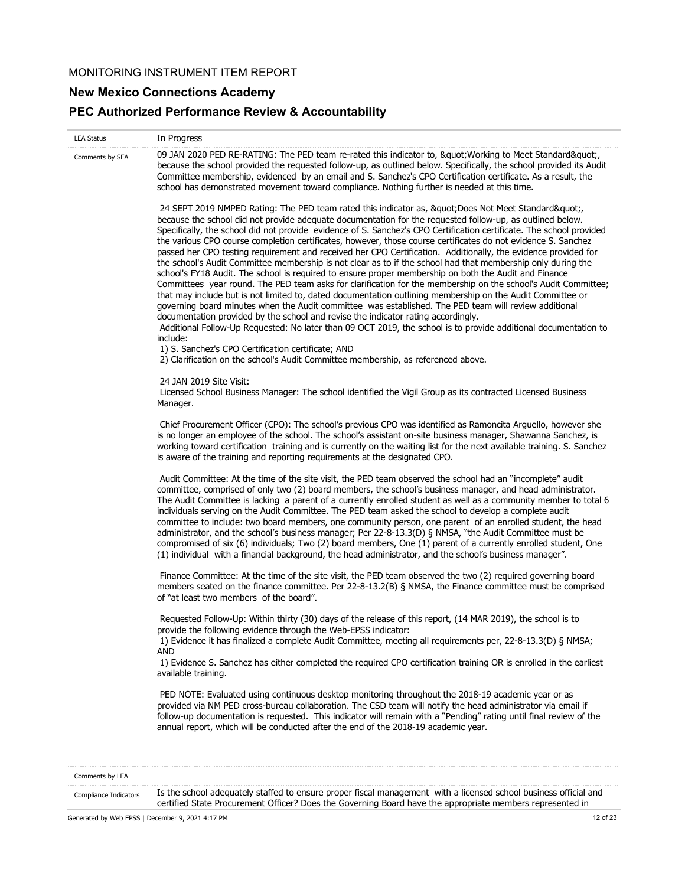# **New Mexico Connections Academy**

# **PEC Authorized Performance Review & Accountability**

| Comments by SEA | 09 JAN 2020 PED RE-RATING: The PED team re-rated this indicator to, " Working to Meet Standard"<br>because the school provided the requested follow-up, as outlined below. Specifically, the school provided its Audit<br>Committee membership, evidenced by an email and S. Sanchez's CPO Certification certificate. As a result, the<br>school has demonstrated movement toward compliance. Nothing further is needed at this time.<br>24 SEPT 2019 NMPED Rating: The PED team rated this indicator as, " Does Not Meet Standard"<br>because the school did not provide adequate documentation for the requested follow-up, as outlined below.<br>Specifically, the school did not provide evidence of S. Sanchez's CPO Certification certificate. The school provided<br>the various CPO course completion certificates, however, those course certificates do not evidence S. Sanchez<br>passed her CPO testing requirement and received her CPO Certification. Additionally, the evidence provided for<br>the school's Audit Committee membership is not clear as to if the school had that membership only during the<br>school's FY18 Audit. The school is required to ensure proper membership on both the Audit and Finance<br>Committees year round. The PED team asks for clarification for the membership on the school's Audit Committee;<br>that may include but is not limited to, dated documentation outlining membership on the Audit Committee or<br>governing board minutes when the Audit committee was established. The PED team will review additional<br>documentation provided by the school and revise the indicator rating accordingly.<br>Additional Follow-Up Requested: No later than 09 OCT 2019, the school is to provide additional documentation to<br>include:<br>1) S. Sanchez's CPO Certification certificate; AND<br>2) Clarification on the school's Audit Committee membership, as referenced above. |
|-----------------|----------------------------------------------------------------------------------------------------------------------------------------------------------------------------------------------------------------------------------------------------------------------------------------------------------------------------------------------------------------------------------------------------------------------------------------------------------------------------------------------------------------------------------------------------------------------------------------------------------------------------------------------------------------------------------------------------------------------------------------------------------------------------------------------------------------------------------------------------------------------------------------------------------------------------------------------------------------------------------------------------------------------------------------------------------------------------------------------------------------------------------------------------------------------------------------------------------------------------------------------------------------------------------------------------------------------------------------------------------------------------------------------------------------------------------------------------------------------------------------------------------------------------------------------------------------------------------------------------------------------------------------------------------------------------------------------------------------------------------------------------------------------------------------------------------------------------------------------------------------------------------------------------------------------------------------------|
|                 |                                                                                                                                                                                                                                                                                                                                                                                                                                                                                                                                                                                                                                                                                                                                                                                                                                                                                                                                                                                                                                                                                                                                                                                                                                                                                                                                                                                                                                                                                                                                                                                                                                                                                                                                                                                                                                                                                                                                              |
|                 |                                                                                                                                                                                                                                                                                                                                                                                                                                                                                                                                                                                                                                                                                                                                                                                                                                                                                                                                                                                                                                                                                                                                                                                                                                                                                                                                                                                                                                                                                                                                                                                                                                                                                                                                                                                                                                                                                                                                              |
|                 | 24 JAN 2019 Site Visit:<br>Licensed School Business Manager: The school identified the Vigil Group as its contracted Licensed Business<br>Manager.                                                                                                                                                                                                                                                                                                                                                                                                                                                                                                                                                                                                                                                                                                                                                                                                                                                                                                                                                                                                                                                                                                                                                                                                                                                                                                                                                                                                                                                                                                                                                                                                                                                                                                                                                                                           |
|                 | Chief Procurement Officer (CPO): The school's previous CPO was identified as Ramoncita Arguello, however she<br>is no longer an employee of the school. The school's assistant on-site business manager, Shawanna Sanchez, is<br>working toward certification training and is currently on the waiting list for the next available training. S. Sanchez<br>is aware of the training and reporting requirements at the designated CPO.                                                                                                                                                                                                                                                                                                                                                                                                                                                                                                                                                                                                                                                                                                                                                                                                                                                                                                                                                                                                                                                                                                                                                                                                                                                                                                                                                                                                                                                                                                        |
|                 | Audit Committee: At the time of the site visit, the PED team observed the school had an "incomplete" audit<br>committee, comprised of only two (2) board members, the school's business manager, and head administrator.<br>The Audit Committee is lacking a parent of a currently enrolled student as well as a community member to total 6<br>individuals serving on the Audit Committee. The PED team asked the school to develop a complete audit<br>committee to include: two board members, one community person, one parent of an enrolled student, the head<br>administrator, and the school's business manager; Per 22-8-13.3(D) § NMSA, "the Audit Committee must be<br>compromised of six (6) individuals; Two (2) board members, One (1) parent of a currently enrolled student, One<br>(1) individual with a financial background, the head administrator, and the school's business manager".                                                                                                                                                                                                                                                                                                                                                                                                                                                                                                                                                                                                                                                                                                                                                                                                                                                                                                                                                                                                                                  |
|                 | Finance Committee: At the time of the site visit, the PED team observed the two (2) required governing board<br>members seated on the finance committee. Per 22-8-13.2(B) § NMSA, the Finance committee must be comprised<br>of "at least two members of the board".                                                                                                                                                                                                                                                                                                                                                                                                                                                                                                                                                                                                                                                                                                                                                                                                                                                                                                                                                                                                                                                                                                                                                                                                                                                                                                                                                                                                                                                                                                                                                                                                                                                                         |
|                 | Requested Follow-Up: Within thirty (30) days of the release of this report, (14 MAR 2019), the school is to<br>provide the following evidence through the Web-EPSS indicator:<br>1) Evidence it has finalized a complete Audit Committee, meeting all requirements per, 22-8-13.3(D) § NMSA;<br>AND<br>1) Evidence S. Sanchez has either completed the required CPO certification training OR is enrolled in the earliest<br>available training.                                                                                                                                                                                                                                                                                                                                                                                                                                                                                                                                                                                                                                                                                                                                                                                                                                                                                                                                                                                                                                                                                                                                                                                                                                                                                                                                                                                                                                                                                             |
|                 | PED NOTE: Evaluated using continuous desktop monitoring throughout the 2018-19 academic year or as<br>provided via NM PED cross-bureau collaboration. The CSD team will notify the head administrator via email if<br>follow-up documentation is requested. This indicator will remain with a "Pending" rating until final review of the<br>annual report, which will be conducted after the end of the 2018-19 academic year.                                                                                                                                                                                                                                                                                                                                                                                                                                                                                                                                                                                                                                                                                                                                                                                                                                                                                                                                                                                                                                                                                                                                                                                                                                                                                                                                                                                                                                                                                                               |

Is the school adequately staffed to ensure proper fiscal management with a licensed school business official and certified State Procurement Officer? Does the Governing Board have the appropriate members represented in Compliance Indicators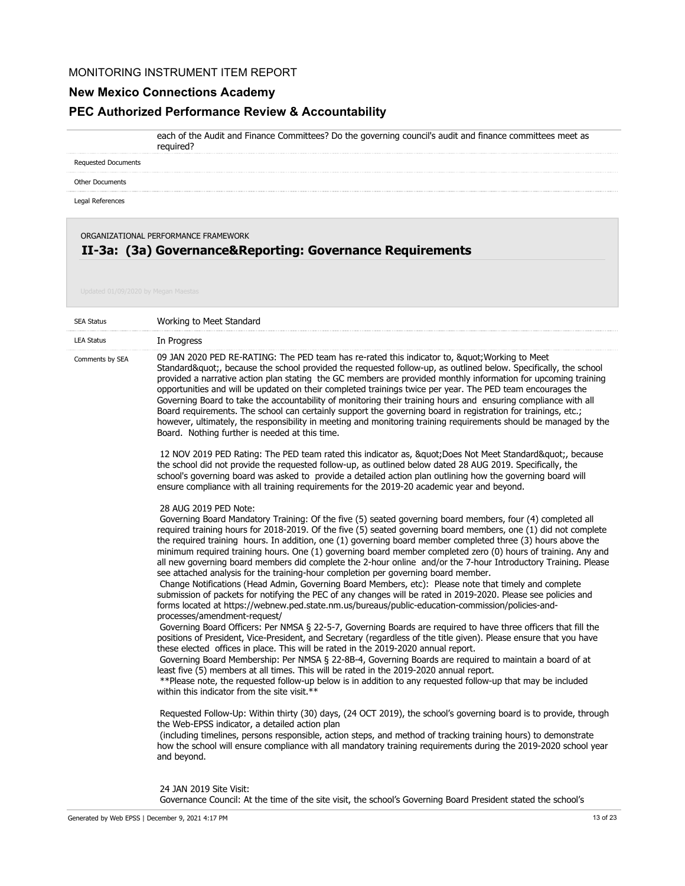## **New Mexico Connections Academy**

required?

## **PEC Authorized Performance Review & Accountability**

each of the Audit and Finance Committees? Do the governing council's audit and finance committees meet as

Requested Documents

Other Documents

Legal References

ORGANIZATIONAL PERFORMANCE FRAMEWORK

# **II-3a: (3a) Governance&Reporting: Governance Requirements**

| <b>SEA Status</b> | Working to Meet Standard                                                                                                                                                                                                                                                                                                                                                                                                                                                                                                                                                                                                                                                                                                                                                                                                                                                                                                                                                                                                                                                                                                                                                                                                                                                                                                                                                                                                                                                                                                                                                                                                                                                                                                                                                                                                                                                                                                                                                                                                                                                                                                                                                                       |
|-------------------|------------------------------------------------------------------------------------------------------------------------------------------------------------------------------------------------------------------------------------------------------------------------------------------------------------------------------------------------------------------------------------------------------------------------------------------------------------------------------------------------------------------------------------------------------------------------------------------------------------------------------------------------------------------------------------------------------------------------------------------------------------------------------------------------------------------------------------------------------------------------------------------------------------------------------------------------------------------------------------------------------------------------------------------------------------------------------------------------------------------------------------------------------------------------------------------------------------------------------------------------------------------------------------------------------------------------------------------------------------------------------------------------------------------------------------------------------------------------------------------------------------------------------------------------------------------------------------------------------------------------------------------------------------------------------------------------------------------------------------------------------------------------------------------------------------------------------------------------------------------------------------------------------------------------------------------------------------------------------------------------------------------------------------------------------------------------------------------------------------------------------------------------------------------------------------------------|
| <b>LEA Status</b> | In Progress                                                                                                                                                                                                                                                                                                                                                                                                                                                                                                                                                                                                                                                                                                                                                                                                                                                                                                                                                                                                                                                                                                                                                                                                                                                                                                                                                                                                                                                                                                                                                                                                                                                                                                                                                                                                                                                                                                                                                                                                                                                                                                                                                                                    |
| Comments by SEA   | 09 JAN 2020 PED RE-RATING: The PED team has re-rated this indicator to, " Working to Meet<br>Standard", because the school provided the requested follow-up, as outlined below. Specifically, the school<br>provided a narrative action plan stating the GC members are provided monthly information for upcoming training<br>opportunities and will be updated on their completed trainings twice per year. The PED team encourages the<br>Governing Board to take the accountability of monitoring their training hours and ensuring compliance with all<br>Board requirements. The school can certainly support the governing board in registration for trainings, etc.;<br>however, ultimately, the responsibility in meeting and monitoring training requirements should be managed by the<br>Board. Nothing further is needed at this time.                                                                                                                                                                                                                                                                                                                                                                                                                                                                                                                                                                                                                                                                                                                                                                                                                                                                                                                                                                                                                                                                                                                                                                                                                                                                                                                                              |
|                   | 12 NOV 2019 PED Rating: The PED team rated this indicator as, " Does Not Meet Standard", because<br>the school did not provide the requested follow-up, as outlined below dated 28 AUG 2019. Specifically, the<br>school's governing board was asked to provide a detailed action plan outlining how the governing board will<br>ensure compliance with all training requirements for the 2019-20 academic year and beyond.                                                                                                                                                                                                                                                                                                                                                                                                                                                                                                                                                                                                                                                                                                                                                                                                                                                                                                                                                                                                                                                                                                                                                                                                                                                                                                                                                                                                                                                                                                                                                                                                                                                                                                                                                                    |
|                   | 28 AUG 2019 PED Note:<br>Governing Board Mandatory Training: Of the five (5) seated governing board members, four (4) completed all<br>required training hours for 2018-2019. Of the five (5) seated governing board members, one (1) did not complete<br>the required training hours. In addition, one (1) governing board member completed three (3) hours above the<br>minimum required training hours. One (1) governing board member completed zero (0) hours of training. Any and<br>all new governing board members did complete the 2-hour online and/or the 7-hour Introductory Training. Please<br>see attached analysis for the training-hour completion per governing board member.<br>Change Notifications (Head Admin, Governing Board Members, etc): Please note that timely and complete<br>submission of packets for notifying the PEC of any changes will be rated in 2019-2020. Please see policies and<br>forms located at https://webnew.ped.state.nm.us/bureaus/public-education-commission/policies-and-<br>processes/amendment-request/<br>Governing Board Officers: Per NMSA § 22-5-7, Governing Boards are required to have three officers that fill the<br>positions of President, Vice-President, and Secretary (regardless of the title given). Please ensure that you have<br>these elected offices in place. This will be rated in the 2019-2020 annual report.<br>Governing Board Membership: Per NMSA § 22-8B-4, Governing Boards are required to maintain a board of at<br>least five (5) members at all times. This will be rated in the 2019-2020 annual report.<br>** Please note, the requested follow-up below is in addition to any requested follow-up that may be included<br>within this indicator from the site visit.**<br>Requested Follow-Up: Within thirty (30) days, (24 OCT 2019), the school's governing board is to provide, through<br>the Web-EPSS indicator, a detailed action plan<br>(including timelines, persons responsible, action steps, and method of tracking training hours) to demonstrate<br>how the school will ensure compliance with all mandatory training requirements during the 2019-2020 school year<br>and beyond. |

#### 24 JAN 2019 Site Visit:

Governance Council: At the time of the site visit, the school's Governing Board President stated the school's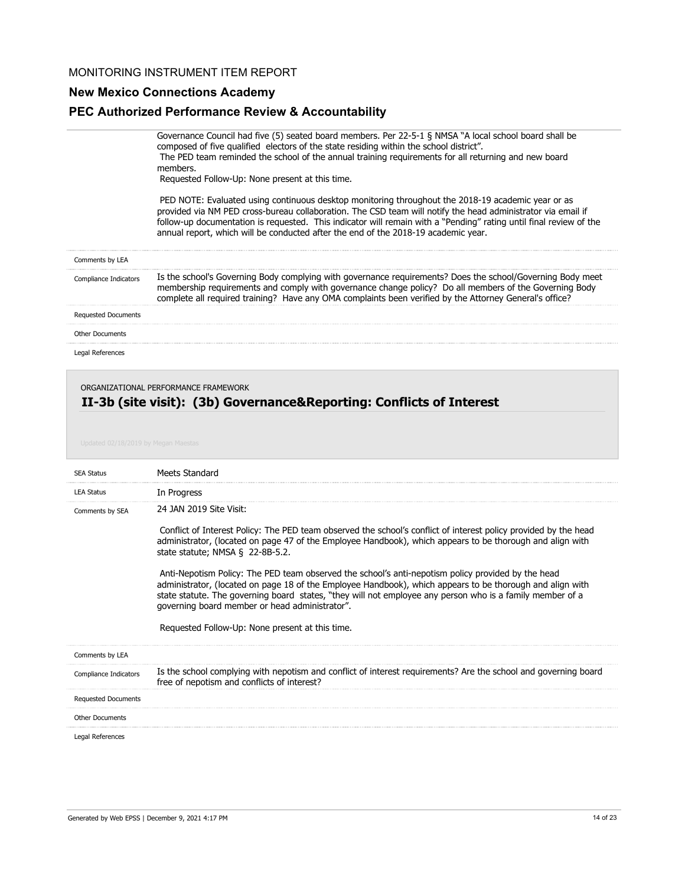## **New Mexico Connections Academy**

## **PEC Authorized Performance Review & Accountability**

Governance Council had five (5) seated board members. Per 22-5-1 § NMSA "A local school board shall be composed of five qualified electors of the state residing within the school district". The PED team reminded the school of the annual training requirements for all returning and new board members.

Requested Follow-Up: None present at this time.

 PED NOTE: Evaluated using continuous desktop monitoring throughout the 2018-19 academic year or as provided via NM PED cross-bureau collaboration. The CSD team will notify the head administrator via email if follow-up documentation is requested. This indicator will remain with a "Pending" rating until final review of the annual report, which will be conducted after the end of the 2018-19 academic year.

| Comments by LEA |                                                                                                                                                                                                                                                                                                                              |
|-----------------|------------------------------------------------------------------------------------------------------------------------------------------------------------------------------------------------------------------------------------------------------------------------------------------------------------------------------|
|                 | Is the school's Governing Body complying with governance requirements? Does the school/Governing Body meet<br>membership requirements and comply with governance change policy? Do all members of the Governing Body<br>plete all required training? Have any OMA complaints been verified by the Attorney General's office? |
|                 |                                                                                                                                                                                                                                                                                                                              |
|                 |                                                                                                                                                                                                                                                                                                                              |

Legal References

#### ORGANIZATIONAL PERFORMANCE FRAMEWORK

### **II-3b (site visit): (3b) Governance&Reporting: Conflicts of Interest**

| <b>SEA Status</b>          | Meets Standard                                                                                                                                                                                                                                                                                                                                                                 |
|----------------------------|--------------------------------------------------------------------------------------------------------------------------------------------------------------------------------------------------------------------------------------------------------------------------------------------------------------------------------------------------------------------------------|
| <b>LEA Status</b>          | In Progress                                                                                                                                                                                                                                                                                                                                                                    |
| Comments by SEA            | 24 JAN 2019 Site Visit:                                                                                                                                                                                                                                                                                                                                                        |
|                            | Conflict of Interest Policy: The PED team observed the school's conflict of interest policy provided by the head<br>administrator, (located on page 47 of the Employee Handbook), which appears to be thorough and align with<br>state statute; NMSA $\S$ 22-8B-5.2.                                                                                                           |
|                            | Anti-Nepotism Policy: The PED team observed the school's anti-nepotism policy provided by the head<br>administrator, (located on page 18 of the Employee Handbook), which appears to be thorough and align with<br>state statute. The governing board states, "they will not employee any person who is a family member of a<br>governing board member or head administrator". |
|                            | Requested Follow-Up: None present at this time.                                                                                                                                                                                                                                                                                                                                |
| Comments by LEA            |                                                                                                                                                                                                                                                                                                                                                                                |
| Compliance Indicators      | Is the school complying with nepotism and conflict of interest requirements? Are the school and governing board<br>free of nepotism and conflicts of interest?                                                                                                                                                                                                                 |
| <b>Requested Documents</b> |                                                                                                                                                                                                                                                                                                                                                                                |
| <b>Other Documents</b>     |                                                                                                                                                                                                                                                                                                                                                                                |
| Legal References           |                                                                                                                                                                                                                                                                                                                                                                                |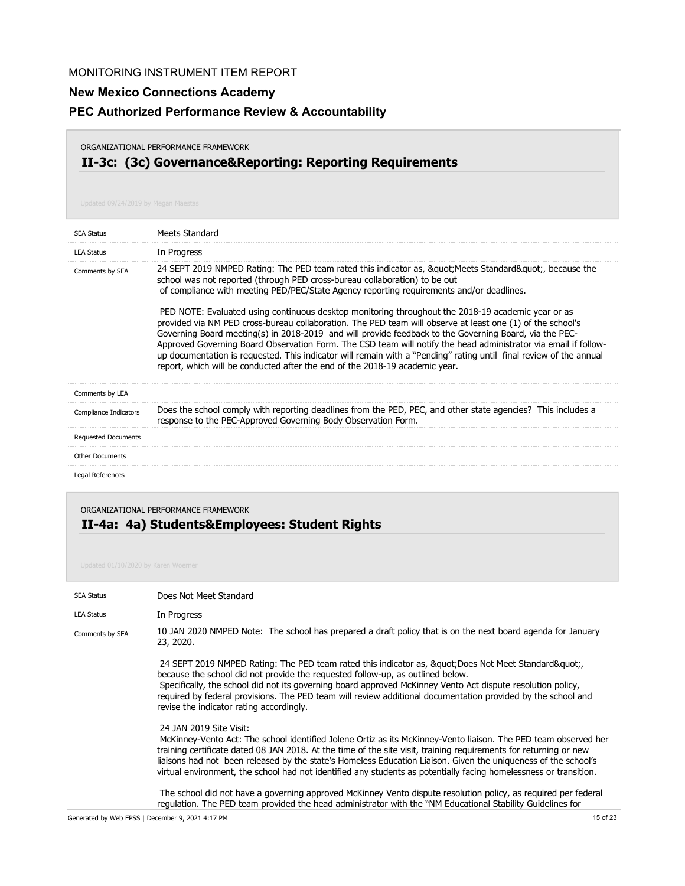# **New Mexico Connections Academy**

## **PEC Authorized Performance Review & Accountability**

#### ORGANIZATIONAL PERFORMANCE FRAMEWORK

# **II-3c: (3c) Governance&Reporting: Reporting Requirements**

| <b>SEA Status</b>            | Meets Standard                                                                                                                                                                                                                                                                                                                                                                                                                                                                                                                                                                                                                                                                                                                                                                                                                                                                                                                               |
|------------------------------|----------------------------------------------------------------------------------------------------------------------------------------------------------------------------------------------------------------------------------------------------------------------------------------------------------------------------------------------------------------------------------------------------------------------------------------------------------------------------------------------------------------------------------------------------------------------------------------------------------------------------------------------------------------------------------------------------------------------------------------------------------------------------------------------------------------------------------------------------------------------------------------------------------------------------------------------|
| <b>LEA Status</b>            | In Progress                                                                                                                                                                                                                                                                                                                                                                                                                                                                                                                                                                                                                                                                                                                                                                                                                                                                                                                                  |
| Comments by SEA              | 24 SEPT 2019 NMPED Rating: The PED team rated this indicator as, & quot; Meets Standard & quot;, because the<br>school was not reported (through PED cross-bureau collaboration) to be out<br>of compliance with meeting PED/PEC/State Agency reporting requirements and/or deadlines.<br>PED NOTE: Evaluated using continuous desktop monitoring throughout the 2018-19 academic year or as<br>provided via NM PED cross-bureau collaboration. The PED team will observe at least one (1) of the school's<br>Governing Board meeting(s) in 2018-2019 and will provide feedback to the Governing Board, via the PEC-<br>Approved Governing Board Observation Form. The CSD team will notify the head administrator via email if follow-<br>up documentation is requested. This indicator will remain with a "Pending" rating until final review of the annual<br>report, which will be conducted after the end of the 2018-19 academic year. |
| Comments by LEA              |                                                                                                                                                                                                                                                                                                                                                                                                                                                                                                                                                                                                                                                                                                                                                                                                                                                                                                                                              |
| <b>Compliance Indicators</b> | Does the school comply with reporting deadlines from the PED, PEC, and other state agencies? This includes a<br>response to the PEC-Approved Governing Body Observation Form.                                                                                                                                                                                                                                                                                                                                                                                                                                                                                                                                                                                                                                                                                                                                                                |
| <b>Requested Documents</b>   |                                                                                                                                                                                                                                                                                                                                                                                                                                                                                                                                                                                                                                                                                                                                                                                                                                                                                                                                              |
| <b>Other Documents</b>       |                                                                                                                                                                                                                                                                                                                                                                                                                                                                                                                                                                                                                                                                                                                                                                                                                                                                                                                                              |
| Legal References             |                                                                                                                                                                                                                                                                                                                                                                                                                                                                                                                                                                                                                                                                                                                                                                                                                                                                                                                                              |

ORGANIZATIONAL PERFORMANCE FRAMEWORK

# **II-4a: 4a) Students&Employees: Student Rights**

| <b>SEA Status</b> | Does Not Meet Standard                                                                                                                                                                                                                                                                                                                                                                                                                                                                                 |
|-------------------|--------------------------------------------------------------------------------------------------------------------------------------------------------------------------------------------------------------------------------------------------------------------------------------------------------------------------------------------------------------------------------------------------------------------------------------------------------------------------------------------------------|
| <b>LEA Status</b> | In Progress                                                                                                                                                                                                                                                                                                                                                                                                                                                                                            |
| Comments by SEA   | 10 JAN 2020 NMPED Note: The school has prepared a draft policy that is on the next board agenda for January<br>23, 2020.                                                                                                                                                                                                                                                                                                                                                                               |
|                   | 24 SEPT 2019 NMPED Rating: The PED team rated this indicator as, & quot; Does Not Meet Standard & quot;<br>because the school did not provide the requested follow-up, as outlined below.<br>Specifically, the school did not its governing board approved McKinney Vento Act dispute resolution policy,<br>required by federal provisions. The PED team will review additional documentation provided by the school and<br>revise the indicator rating accordingly.                                   |
|                   | 24 JAN 2019 Site Visit:<br>McKinney-Vento Act: The school identified Jolene Ortiz as its McKinney-Vento liaison. The PED team observed her<br>training certificate dated 08 JAN 2018. At the time of the site visit, training requirements for returning or new<br>liaisons had not been released by the state's Homeless Education Liaison. Given the uniqueness of the school's<br>virtual environment, the school had not identified any students as potentially facing homelessness or transition. |
|                   | The school did not have a governing approved McKinney Vento dispute resolution policy, as reguired per federal<br>regulation. The PED team provided the head administrator with the "NM Educational Stability Guidelines for                                                                                                                                                                                                                                                                           |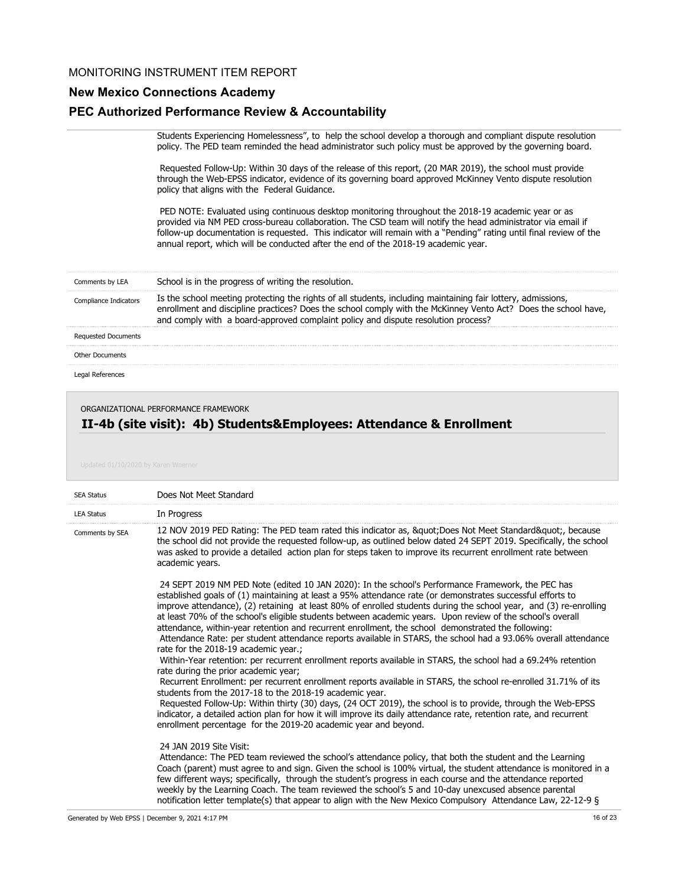# **New Mexico Connections Academy**

## **PEC Authorized Performance Review & Accountability**

|                            | Students Experiencing Homelessness", to help the school develop a thorough and compliant dispute resolution<br>policy. The PED team reminded the head administrator such policy must be approved by the governing board.                                                                                                                                                                                                       |
|----------------------------|--------------------------------------------------------------------------------------------------------------------------------------------------------------------------------------------------------------------------------------------------------------------------------------------------------------------------------------------------------------------------------------------------------------------------------|
|                            | Requested Follow-Up: Within 30 days of the release of this report, (20 MAR 2019), the school must provide<br>through the Web-EPSS indicator, evidence of its governing board approved McKinney Vento dispute resolution<br>policy that aligns with the Federal Guidance.                                                                                                                                                       |
|                            | PED NOTE: Evaluated using continuous desktop monitoring throughout the 2018-19 academic year or as<br>provided via NM PED cross-bureau collaboration. The CSD team will notify the head administrator via email if<br>follow-up documentation is requested. This indicator will remain with a "Pending" rating until final review of the<br>annual report, which will be conducted after the end of the 2018-19 academic year. |
| Comments by LEA            | School is in the progress of writing the resolution.                                                                                                                                                                                                                                                                                                                                                                           |
| Compliance Indicators      | Is the school meeting protecting the rights of all students, including maintaining fair lottery, admissions,<br>enrollment and discipline practices? Does the school comply with the McKinney Vento Act? Does the school have,<br>and comply with a board-approved complaint policy and dispute resolution process?                                                                                                            |
| <b>Requested Documents</b> |                                                                                                                                                                                                                                                                                                                                                                                                                                |
| <b>Other Documents</b>     |                                                                                                                                                                                                                                                                                                                                                                                                                                |
| Legal References           |                                                                                                                                                                                                                                                                                                                                                                                                                                |

#### ORGANIZATIONAL PERFORMANCE FRAMEWORK

# **II-4b (site visit): 4b) Students&Employees: Attendance & Enrollment**

| <b>SEA Status</b> | Does Not Meet Standard                                                                                                                                                                                                                                                                                                                                                                                                                                                                                                                                                                                                                                                                                                                                                                                                                                                                                                                                                                                                                                                                                                                                                                                                                                                                                                                                            |
|-------------------|-------------------------------------------------------------------------------------------------------------------------------------------------------------------------------------------------------------------------------------------------------------------------------------------------------------------------------------------------------------------------------------------------------------------------------------------------------------------------------------------------------------------------------------------------------------------------------------------------------------------------------------------------------------------------------------------------------------------------------------------------------------------------------------------------------------------------------------------------------------------------------------------------------------------------------------------------------------------------------------------------------------------------------------------------------------------------------------------------------------------------------------------------------------------------------------------------------------------------------------------------------------------------------------------------------------------------------------------------------------------|
| <b>LEA Status</b> | In Progress                                                                                                                                                                                                                                                                                                                                                                                                                                                                                                                                                                                                                                                                                                                                                                                                                                                                                                                                                                                                                                                                                                                                                                                                                                                                                                                                                       |
| Comments by SEA   | 12 NOV 2019 PED Rating: The PED team rated this indicator as, " Does Not Meet Standard", because<br>the school did not provide the requested follow-up, as outlined below dated 24 SEPT 2019. Specifically, the school<br>was asked to provide a detailed action plan for steps taken to improve its recurrent enrollment rate between<br>academic years.                                                                                                                                                                                                                                                                                                                                                                                                                                                                                                                                                                                                                                                                                                                                                                                                                                                                                                                                                                                                         |
|                   | 24 SEPT 2019 NM PED Note (edited 10 JAN 2020): In the school's Performance Framework, the PEC has<br>established goals of (1) maintaining at least a 95% attendance rate (or demonstrates successful efforts to<br>improve attendance), (2) retaining at least 80% of enrolled students during the school year, and (3) re-enrolling<br>at least 70% of the school's eligible students between academic years. Upon review of the school's overall<br>attendance, within-year retention and recurrent enrollment, the school demonstrated the following:<br>Attendance Rate: per student attendance reports available in STARS, the school had a 93.06% overall attendance<br>rate for the 2018-19 academic year.;<br>Within-Year retention: per recurrent enrollment reports available in STARS, the school had a 69.24% retention<br>rate during the prior academic year;<br>Recurrent Enrollment: per recurrent enrollment reports available in STARS, the school re-enrolled 31.71% of its<br>students from the 2017-18 to the 2018-19 academic year.<br>Requested Follow-Up: Within thirty (30) days, (24 OCT 2019), the school is to provide, through the Web-EPSS<br>indicator, a detailed action plan for how it will improve its daily attendance rate, retention rate, and recurrent<br>enrollment percentage for the 2019-20 academic year and beyond. |
|                   | 24 JAN 2019 Site Visit:<br>Attendance: The PED team reviewed the school's attendance policy, that both the student and the Learning<br>Coach (parent) must agree to and sign. Given the school is 100% virtual, the student attendance is monitored in a<br>few different ways; specifically, through the student's progress in each course and the attendance reported<br>weekly by the Learning Coach. The team reviewed the school's 5 and 10-day unexcused absence parental                                                                                                                                                                                                                                                                                                                                                                                                                                                                                                                                                                                                                                                                                                                                                                                                                                                                                   |

notification letter template(s) that appear to align with the New Mexico Compulsory Attendance Law, 22-12-9 §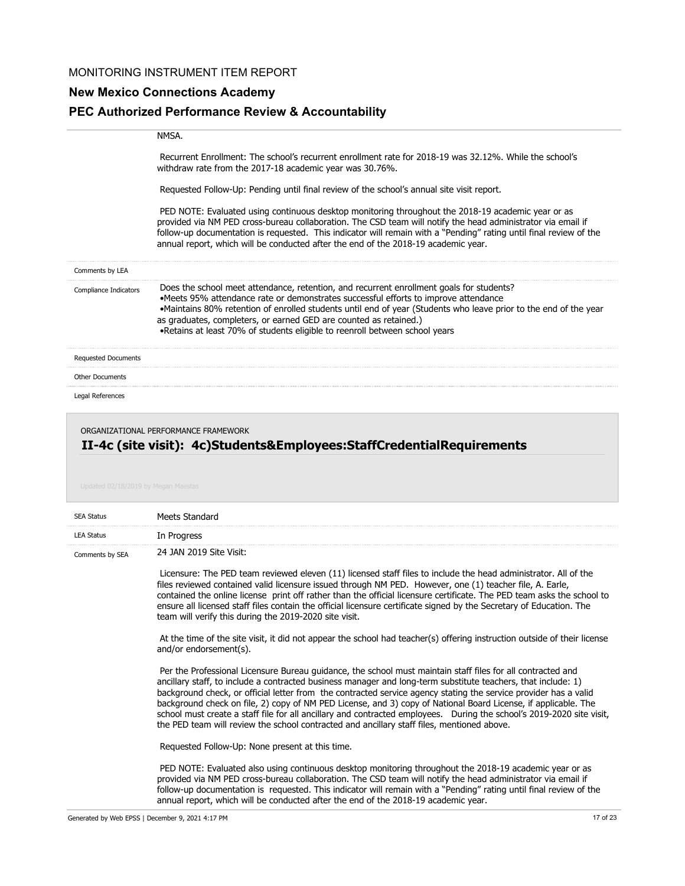# **New Mexico Connections Academy PEC Authorized Performance Review & Accountability**

|                            | <b>NMSA</b>                                                                                                                                                                                                                                                                                                                                                                                                                                              |
|----------------------------|----------------------------------------------------------------------------------------------------------------------------------------------------------------------------------------------------------------------------------------------------------------------------------------------------------------------------------------------------------------------------------------------------------------------------------------------------------|
|                            | Recurrent Enrollment: The school's recurrent enrollment rate for 2018-19 was 32,12%. While the school's<br>withdraw rate from the 2017-18 academic year was 30.76%.                                                                                                                                                                                                                                                                                      |
|                            | Requested Follow-Up: Pending until final review of the school's annual site visit report.                                                                                                                                                                                                                                                                                                                                                                |
|                            | PED NOTE: Evaluated using continuous desktop monitoring throughout the 2018-19 academic year or as<br>provided via NM PED cross-bureau collaboration. The CSD team will notify the head administrator via email if<br>follow-up documentation is requested. This indicator will remain with a "Pending" rating until final review of the<br>annual report, which will be conducted after the end of the 2018-19 academic year.                           |
| Comments by LEA            |                                                                                                                                                                                                                                                                                                                                                                                                                                                          |
| Compliance Indicators      | Does the school meet attendance, retention, and recurrent enrollment goals for students?<br>•Meets 95% attendance rate or demonstrates successful efforts to improve attendance<br>•Maintains 80% retention of enrolled students until end of year (Students who leave prior to the end of the year<br>as graduates, completers, or earned GED are counted as retained.)<br>• Retains at least 70% of students eligible to reenroll between school years |
| <b>Requested Documents</b> |                                                                                                                                                                                                                                                                                                                                                                                                                                                          |
| <b>Other Documents</b>     |                                                                                                                                                                                                                                                                                                                                                                                                                                                          |
| Legal References           |                                                                                                                                                                                                                                                                                                                                                                                                                                                          |

#### ORGANIZATIONAL PERFORMANCE FRAMEWORK

# **II-4c (site visit): 4c)Students&Employees:StaffCredentialRequirements**

| <b>SEA Status</b> | Meets Standard                                                                                                                                                                                                                                                                                                                                                                                                                                                                                                                                                                                                                                                                            |
|-------------------|-------------------------------------------------------------------------------------------------------------------------------------------------------------------------------------------------------------------------------------------------------------------------------------------------------------------------------------------------------------------------------------------------------------------------------------------------------------------------------------------------------------------------------------------------------------------------------------------------------------------------------------------------------------------------------------------|
| <b>LEA Status</b> | In Progress                                                                                                                                                                                                                                                                                                                                                                                                                                                                                                                                                                                                                                                                               |
| Comments by SEA   | 24 JAN 2019 Site Visit:                                                                                                                                                                                                                                                                                                                                                                                                                                                                                                                                                                                                                                                                   |
|                   | Licensure: The PED team reviewed eleven (11) licensed staff files to include the head administrator. All of the<br>files reviewed contained valid licensure issued through NM PED. However, one (1) teacher file, A. Earle,<br>contained the online license print off rather than the official licensure certificate. The PED team asks the school to<br>ensure all licensed staff files contain the official licensure certificate signed by the Secretary of Education. The<br>team will verify this during the 2019-2020 site visit.                                                                                                                                                   |
|                   | At the time of the site visit, it did not appear the school had teacher(s) offering instruction outside of their license<br>and/or endorsement(s).                                                                                                                                                                                                                                                                                                                                                                                                                                                                                                                                        |
|                   | Per the Professional Licensure Bureau guidance, the school must maintain staff files for all contracted and<br>ancillary staff, to include a contracted business manager and long-term substitute teachers, that include: 1)<br>background check, or official letter from the contracted service agency stating the service provider has a valid<br>background check on file, 2) copy of NM PED License, and 3) copy of National Board License, if applicable. The<br>school must create a staff file for all ancillary and contracted employees. During the school's 2019-2020 site visit,<br>the PED team will review the school contracted and ancillary staff files, mentioned above. |
|                   | Requested Follow-Up: None present at this time.                                                                                                                                                                                                                                                                                                                                                                                                                                                                                                                                                                                                                                           |
|                   | PED NOTE: Evaluated also using continuous desktop monitoring throughout the 2018-19 academic year or as<br>provided via NM PED cross-bureau collaboration. The CSD team will notify the head administrator via email if<br>follow-up documentation is requested. This indicator will remain with a "Pending" rating until final review of the                                                                                                                                                                                                                                                                                                                                             |

annual report, which will be conducted after the end of the 2018-19 academic year.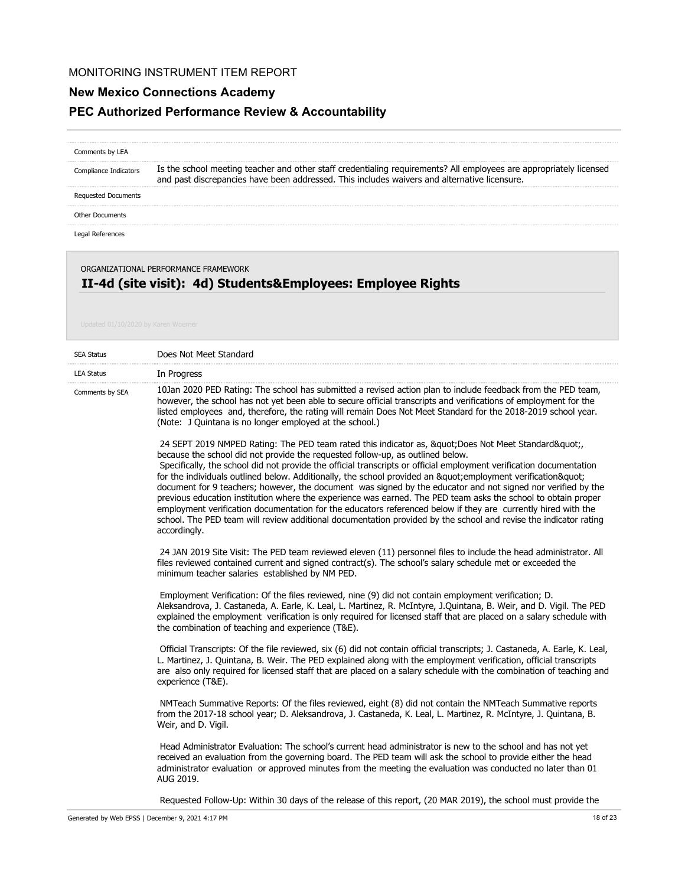## **New Mexico Connections Academy**

## **PEC Authorized Performance Review & Accountability**

## Is the school meeting teacher and other staff credentialing requirements? All employees are appropriately licensed and past discrepancies have been addressed. This includes waivers and alternative licensure. Comments by LEA Compliance Indicators Requested Documents

Other Documents

Legal References

#### ORGANIZATIONAL PERFORMANCE FRAMEWORK

## **II-4d (site visit): 4d) Students&Employees: Employee Rights**

| <b>SEA Status</b> | Does Not Meet Standard                                                                                                                                                                                                                                                                                                                                                                                                                                                                                                                                                                                                                                                                                                                                                                                                                                                                            |
|-------------------|---------------------------------------------------------------------------------------------------------------------------------------------------------------------------------------------------------------------------------------------------------------------------------------------------------------------------------------------------------------------------------------------------------------------------------------------------------------------------------------------------------------------------------------------------------------------------------------------------------------------------------------------------------------------------------------------------------------------------------------------------------------------------------------------------------------------------------------------------------------------------------------------------|
| <b>LEA Status</b> | In Progress                                                                                                                                                                                                                                                                                                                                                                                                                                                                                                                                                                                                                                                                                                                                                                                                                                                                                       |
| Comments by SEA   | 10Jan 2020 PED Rating: The school has submitted a revised action plan to include feedback from the PED team,<br>however, the school has not yet been able to secure official transcripts and verifications of employment for the<br>listed employees and, therefore, the rating will remain Does Not Meet Standard for the 2018-2019 school year.<br>(Note: J Quintana is no longer employed at the school.)                                                                                                                                                                                                                                                                                                                                                                                                                                                                                      |
|                   | 24 SEPT 2019 NMPED Rating: The PED team rated this indicator as, " Does Not Meet Standard",<br>because the school did not provide the requested follow-up, as outlined below.<br>Specifically, the school did not provide the official transcripts or official employment verification documentation<br>for the individuals outlined below. Additionally, the school provided an " employment verification"<br>document for 9 teachers; however, the document was signed by the educator and not signed nor verified by the<br>previous education institution where the experience was earned. The PED team asks the school to obtain proper<br>employment verification documentation for the educators referenced below if they are currently hired with the<br>school. The PED team will review additional documentation provided by the school and revise the indicator rating<br>accordingly. |
|                   | 24 JAN 2019 Site Visit: The PED team reviewed eleven (11) personnel files to include the head administrator. All<br>files reviewed contained current and signed contract(s). The school's salary schedule met or exceeded the<br>minimum teacher salaries established by NM PED.                                                                                                                                                                                                                                                                                                                                                                                                                                                                                                                                                                                                                  |
|                   | Employment Verification: Of the files reviewed, nine (9) did not contain employment verification; D.<br>Aleksandrova, J. Castaneda, A. Earle, K. Leal, L. Martinez, R. McIntyre, J.Quintana, B. Weir, and D. Vigil. The PED<br>explained the employment verification is only required for licensed staff that are placed on a salary schedule with<br>the combination of teaching and experience (T&E).                                                                                                                                                                                                                                                                                                                                                                                                                                                                                           |
|                   | Official Transcripts: Of the file reviewed, six (6) did not contain official transcripts; J. Castaneda, A. Earle, K. Leal,<br>L. Martinez, J. Quintana, B. Weir. The PED explained along with the employment verification, official transcripts<br>are also only required for licensed staff that are placed on a salary schedule with the combination of teaching and<br>experience (T&E).                                                                                                                                                                                                                                                                                                                                                                                                                                                                                                       |
|                   | NMTeach Summative Reports: Of the files reviewed, eight (8) did not contain the NMTeach Summative reports<br>from the 2017-18 school year; D. Aleksandrova, J. Castaneda, K. Leal, L. Martinez, R. McIntyre, J. Quintana, B.<br>Weir, and D. Vigil.                                                                                                                                                                                                                                                                                                                                                                                                                                                                                                                                                                                                                                               |
|                   | Head Administrator Evaluation: The school's current head administrator is new to the school and has not yet<br>received an evaluation from the governing board. The PED team will ask the school to provide either the head<br>administrator evaluation or approved minutes from the meeting the evaluation was conducted no later than 01<br>AUG 2019.                                                                                                                                                                                                                                                                                                                                                                                                                                                                                                                                           |

Requested Follow-Up: Within 30 days of the release of this report, (20 MAR 2019), the school must provide the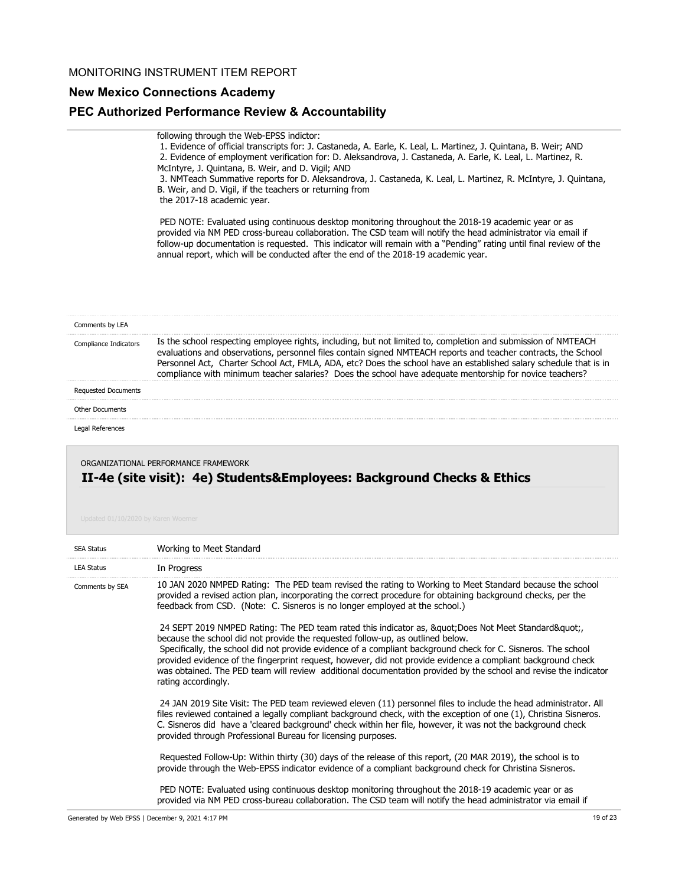## **New Mexico Connections Academy**

### **PEC Authorized Performance Review & Accountability**

following through the Web-EPSS indictor:

 1. Evidence of official transcripts for: J. Castaneda, A. Earle, K. Leal, L. Martinez, J. Quintana, B. Weir; AND 2. Evidence of employment verification for: D. Aleksandrova, J. Castaneda, A. Earle, K. Leal, L. Martinez, R. McIntyre, J. Quintana, B. Weir, and D. Vigil; AND

 3. NMTeach Summative reports for D. Aleksandrova, J. Castaneda, K. Leal, L. Martinez, R. McIntyre, J. Quintana, B. Weir, and D. Vigil, if the teachers or returning from the 2017-18 academic year.

 PED NOTE: Evaluated using continuous desktop monitoring throughout the 2018-19 academic year or as provided via NM PED cross-bureau collaboration. The CSD team will notify the head administrator via email if follow-up documentation is requested. This indicator will remain with a "Pending" rating until final review of the annual report, which will be conducted after the end of the 2018-19 academic year.

| Comments by LEA            |                                                                                                                                                                                                                                                                                                                                                                                                                                                                 |
|----------------------------|-----------------------------------------------------------------------------------------------------------------------------------------------------------------------------------------------------------------------------------------------------------------------------------------------------------------------------------------------------------------------------------------------------------------------------------------------------------------|
| Compliance Indicators      | Is the school respecting employee rights, including, but not limited to, completion and submission of NMTEACH<br>evaluations and observations, personnel files contain signed NMTEACH reports and teacher contracts, the School<br>Personnel Act, Charter School Act, FMLA, ADA, etc? Does the school have an established salary schedule that is in<br>compliance with minimum teacher salaries? Does the school have adequate mentorship for novice teachers? |
| <b>Requested Documents</b> |                                                                                                                                                                                                                                                                                                                                                                                                                                                                 |
| Other Documents            |                                                                                                                                                                                                                                                                                                                                                                                                                                                                 |
| Legal References           |                                                                                                                                                                                                                                                                                                                                                                                                                                                                 |
|                            | ORGANIZATIONAL PERFORMANCE FRAMEV                                                                                                                                                                                                                                                                                                                                                                                                                               |

# **II-4e (site visit): 4e) Students&Employees: Background Checks & Ethics**

| <b>SEA Status</b> | Working to Meet Standard                                                                                                                                                                                                                                                                                                                                                                                                                                                                                                                                             |
|-------------------|----------------------------------------------------------------------------------------------------------------------------------------------------------------------------------------------------------------------------------------------------------------------------------------------------------------------------------------------------------------------------------------------------------------------------------------------------------------------------------------------------------------------------------------------------------------------|
| <b>LEA Status</b> | In Progress                                                                                                                                                                                                                                                                                                                                                                                                                                                                                                                                                          |
| Comments by SEA   | 10 JAN 2020 NMPED Rating: The PED team revised the rating to Working to Meet Standard because the school<br>provided a revised action plan, incorporating the correct procedure for obtaining background checks, per the<br>feedback from CSD. (Note: C. Sisneros is no longer employed at the school.)                                                                                                                                                                                                                                                              |
|                   | 24 SEPT 2019 NMPED Rating: The PED team rated this indicator as, & quot; Does Not Meet Standard & quot;<br>because the school did not provide the requested follow-up, as outlined below.<br>Specifically, the school did not provide evidence of a compliant background check for C. Sisneros. The school<br>provided evidence of the fingerprint request, however, did not provide evidence a compliant background check<br>was obtained. The PED team will review additional documentation provided by the school and revise the indicator<br>rating accordingly. |
|                   | 24 JAN 2019 Site Visit: The PED team reviewed eleven (11) personnel files to include the head administrator. All<br>files reviewed contained a legally compliant background check, with the exception of one (1), Christina Sisneros.<br>C. Sisneros did have a 'cleared background' check within her file, however, it was not the background check<br>provided through Professional Bureau for licensing purposes.                                                                                                                                                 |
|                   | Requested Follow-Up: Within thirty (30) days of the release of this report, (20 MAR 2019), the school is to<br>provide through the Web-EPSS indicator evidence of a compliant background check for Christina Sisneros.                                                                                                                                                                                                                                                                                                                                               |
|                   | PED NOTE: Evaluated using continuous desktop monitoring throughout the 2018-19 academic year or as<br>provided via NM PED cross-bureau collaboration. The CSD team will notify the head administrator via email if                                                                                                                                                                                                                                                                                                                                                   |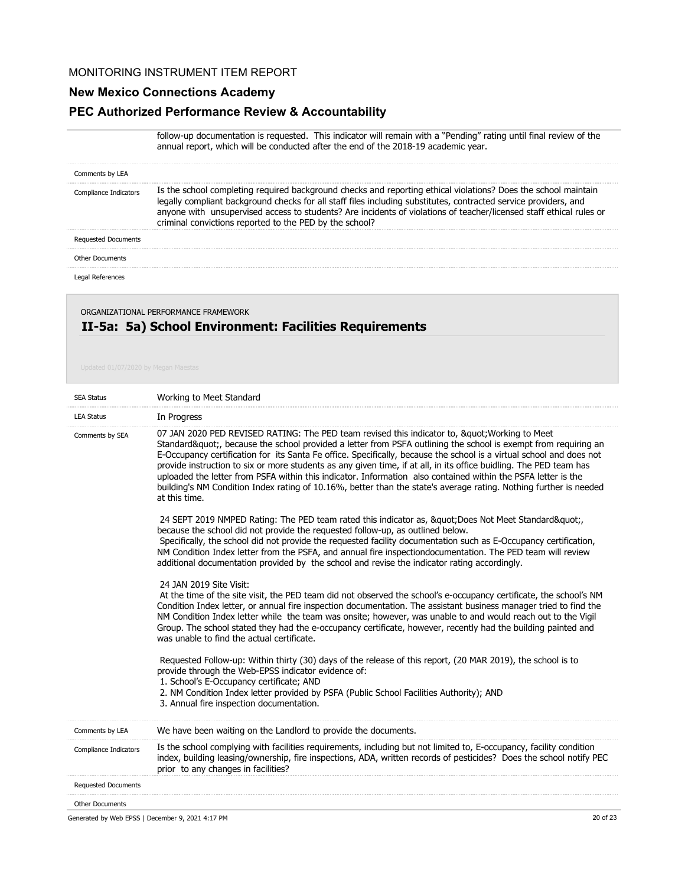## **New Mexico Connections Academy**

## **PEC Authorized Performance Review & Accountability**

follow-up documentation is requested. This indicator will remain with a "Pending" rating until final review of the annual report, which will be conducted after the end of the 2018-19 academic year.

| Comments by LEA            |                                                                                                                                                                                                                                                                                                                                                                                                                      |
|----------------------------|----------------------------------------------------------------------------------------------------------------------------------------------------------------------------------------------------------------------------------------------------------------------------------------------------------------------------------------------------------------------------------------------------------------------|
| Compliance Indicators      | Is the school completing required background checks and reporting ethical violations? Does the school maintain<br>legally compliant background checks for all staff files including substitutes, contracted service providers, and<br>anyone with unsupervised access to students? Are incidents of violations of teacher/licensed staff ethical rules or<br>criminal convictions reported to the PED by the school? |
| <b>Requested Documents</b> |                                                                                                                                                                                                                                                                                                                                                                                                                      |
| <b>Other Documents</b>     |                                                                                                                                                                                                                                                                                                                                                                                                                      |
| Legal References           |                                                                                                                                                                                                                                                                                                                                                                                                                      |

# ORGANIZATIONAL PERFORMANCE FRAMEWORK

# **II-5a: 5a) School Environment: Facilities Requirements**

| <b>SEA Status</b>          | Working to Meet Standard                                                                                                                                                                                                                                                                                                                                                                                                                                                                                                                                                                                                                                                                                     |
|----------------------------|--------------------------------------------------------------------------------------------------------------------------------------------------------------------------------------------------------------------------------------------------------------------------------------------------------------------------------------------------------------------------------------------------------------------------------------------------------------------------------------------------------------------------------------------------------------------------------------------------------------------------------------------------------------------------------------------------------------|
| <b>LEA Status</b>          | In Progress                                                                                                                                                                                                                                                                                                                                                                                                                                                                                                                                                                                                                                                                                                  |
| Comments by SEA            | 07 JAN 2020 PED REVISED RATING: The PED team revised this indicator to, " Working to Meet<br>Standard", because the school provided a letter from PSFA outlining the school is exempt from requiring an<br>E-Occupancy certification for its Santa Fe office. Specifically, because the school is a virtual school and does not<br>provide instruction to six or more students as any given time, if at all, in its office buidling. The PED team has<br>uploaded the letter from PSFA within this indicator. Information also contained within the PSFA letter is the<br>building's NM Condition Index rating of 10.16%, better than the state's average rating. Nothing further is needed<br>at this time. |
|                            | 24 SEPT 2019 NMPED Rating: The PED team rated this indicator as, " Does Not Meet Standard"<br>because the school did not provide the requested follow-up, as outlined below.<br>Specifically, the school did not provide the requested facility documentation such as E-Occupancy certification,<br>NM Condition Index letter from the PSFA, and annual fire inspectiondocumentation. The PED team will review<br>additional documentation provided by the school and revise the indicator rating accordingly.                                                                                                                                                                                               |
|                            | 24 JAN 2019 Site Visit:<br>At the time of the site visit, the PED team did not observed the school's e-occupancy certificate, the school's NM<br>Condition Index letter, or annual fire inspection documentation. The assistant business manager tried to find the<br>NM Condition Index letter while the team was onsite; however, was unable to and would reach out to the Vigil<br>Group. The school stated they had the e-occupancy certificate, however, recently had the building painted and<br>was unable to find the actual certificate.                                                                                                                                                            |
|                            | Requested Follow-up: Within thirty (30) days of the release of this report, (20 MAR 2019), the school is to<br>provide through the Web-EPSS indicator evidence of:<br>1. School's E-Occupancy certificate; AND<br>2. NM Condition Index letter provided by PSFA (Public School Facilities Authority); AND<br>3. Annual fire inspection documentation.                                                                                                                                                                                                                                                                                                                                                        |
| Comments by LEA            | We have been waiting on the Landlord to provide the documents.                                                                                                                                                                                                                                                                                                                                                                                                                                                                                                                                                                                                                                               |
| Compliance Indicators      | Is the school complying with facilities requirements, including but not limited to, E-occupancy, facility condition<br>index, building leasing/ownership, fire inspections, ADA, written records of pesticides? Does the school notify PEC<br>prior to any changes in facilities?                                                                                                                                                                                                                                                                                                                                                                                                                            |
| <b>Requested Documents</b> |                                                                                                                                                                                                                                                                                                                                                                                                                                                                                                                                                                                                                                                                                                              |
| <b>Other Documents</b>     |                                                                                                                                                                                                                                                                                                                                                                                                                                                                                                                                                                                                                                                                                                              |

Generated by Web EPSS | December 9, 2021 4:17 PM 20 of 23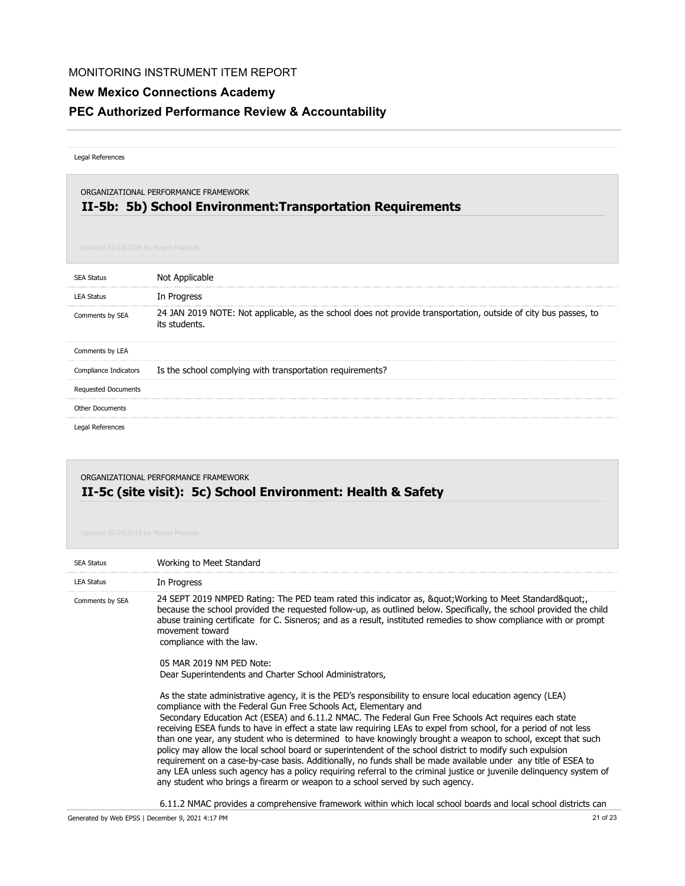# **New Mexico Connections Academy**

# **PEC Authorized Performance Review & Accountability**

#### Legal References

## **II-5b: 5b) School Environment:Transportation Requirements** ORGANIZATIONAL PERFORMANCE FRAMEWORK

| <b>SEA Status</b>          | Not Applicable                                                                                                                   |
|----------------------------|----------------------------------------------------------------------------------------------------------------------------------|
| <b>LEA Status</b>          | In Progress                                                                                                                      |
| Comments by SEA            | 24 JAN 2019 NOTE: Not applicable, as the school does not provide transportation, outside of city bus passes, to<br>its students. |
| Comments by LEA            |                                                                                                                                  |
| Compliance Indicators      | Is the school complying with transportation requirements?                                                                        |
| <b>Requested Documents</b> |                                                                                                                                  |
| <b>Other Documents</b>     |                                                                                                                                  |
| Legal References           |                                                                                                                                  |

# **II-5c (site visit): 5c) School Environment: Health & Safety** ORGANIZATIONAL PERFORMANCE FRAMEWORK

| <b>SEA Status</b> | Working to Meet Standard                                                                                                                                                                                                                                                                                                                                                                                                                                                                                                                                                                                                                                                                                                                                                                                                                                                                                                                                         |
|-------------------|------------------------------------------------------------------------------------------------------------------------------------------------------------------------------------------------------------------------------------------------------------------------------------------------------------------------------------------------------------------------------------------------------------------------------------------------------------------------------------------------------------------------------------------------------------------------------------------------------------------------------------------------------------------------------------------------------------------------------------------------------------------------------------------------------------------------------------------------------------------------------------------------------------------------------------------------------------------|
| <b>LEA Status</b> | In Progress                                                                                                                                                                                                                                                                                                                                                                                                                                                                                                                                                                                                                                                                                                                                                                                                                                                                                                                                                      |
| Comments by SEA   | .24 SEPT 2019 NMPED Rating: The PED team rated this indicator as, &guot Working to Meet Standard&guot<br>because the school provided the requested follow-up, as outlined below. Specifically, the school provided the child<br>abuse training certificate for C. Sisneros; and as a result, instituted remedies to show compliance with or prompt<br>movement toward<br>compliance with the law.                                                                                                                                                                                                                                                                                                                                                                                                                                                                                                                                                                |
|                   | 05 MAR 2019 NM PFD Note:<br>Dear Superintendents and Charter School Administrators,                                                                                                                                                                                                                                                                                                                                                                                                                                                                                                                                                                                                                                                                                                                                                                                                                                                                              |
|                   | As the state administrative agency, it is the PED's responsibility to ensure local education agency (LEA)<br>compliance with the Federal Gun Free Schools Act, Elementary and<br>Secondary Education Act (ESEA) and 6.11.2 NMAC. The Federal Gun Free Schools Act requires each state<br>receiving ESEA funds to have in effect a state law requiring LEAs to expel from school, for a period of not less<br>than one year, any student who is determined to have knowingly brought a weapon to school, except that such<br>policy may allow the local school board or superintendent of the school district to modify such expulsion<br>requirement on a case-by-case basis. Additionally, no funds shall be made available under any title of ESEA to<br>any LEA unless such agency has a policy requiring referral to the criminal justice or juvenile delinguency system of<br>any student who brings a firearm or weapon to a school served by such agency. |

6.11.2 NMAC provides a comprehensive framework within which local school boards and local school districts can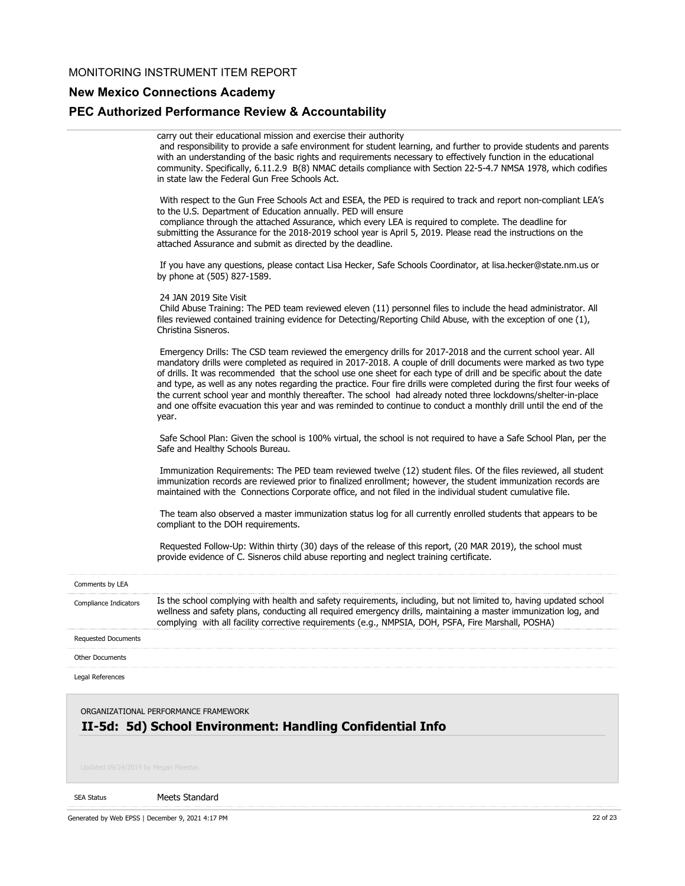# **New Mexico Connections Academy**

# **PEC Authorized Performance Review & Accountability**

|                                                                                                   | carry out their educational mission and exercise their authority<br>and responsibility to provide a safe environment for student learning, and further to provide students and parents<br>with an understanding of the basic rights and requirements necessary to effectively function in the educational<br>community. Specifically, 6.11.2.9 B(8) NMAC details compliance with Section 22-5-4.7 NMSA 1978, which codifies<br>in state law the Federal Gun Free Schools Act.                                                                                                                                                                                                                                             |
|---------------------------------------------------------------------------------------------------|---------------------------------------------------------------------------------------------------------------------------------------------------------------------------------------------------------------------------------------------------------------------------------------------------------------------------------------------------------------------------------------------------------------------------------------------------------------------------------------------------------------------------------------------------------------------------------------------------------------------------------------------------------------------------------------------------------------------------|
|                                                                                                   | With respect to the Gun Free Schools Act and ESEA, the PED is required to track and report non-compliant LEA's<br>to the U.S. Department of Education annually. PED will ensure<br>compliance through the attached Assurance, which every LEA is required to complete. The deadline for<br>submitting the Assurance for the 2018-2019 school year is April 5, 2019. Please read the instructions on the<br>attached Assurance and submit as directed by the deadline.                                                                                                                                                                                                                                                     |
|                                                                                                   | If you have any questions, please contact Lisa Hecker, Safe Schools Coordinator, at lisa.hecker@state.nm.us or<br>by phone at (505) 827-1589.                                                                                                                                                                                                                                                                                                                                                                                                                                                                                                                                                                             |
|                                                                                                   | 24 JAN 2019 Site Visit<br>Child Abuse Training: The PED team reviewed eleven (11) personnel files to include the head administrator. All<br>files reviewed contained training evidence for Detecting/Reporting Child Abuse, with the exception of one (1),<br>Christina Sisneros.                                                                                                                                                                                                                                                                                                                                                                                                                                         |
|                                                                                                   | Emergency Drills: The CSD team reviewed the emergency drills for 2017-2018 and the current school year. All<br>mandatory drills were completed as required in 2017-2018. A couple of drill documents were marked as two type<br>of drills. It was recommended that the school use one sheet for each type of drill and be specific about the date<br>and type, as well as any notes regarding the practice. Four fire drills were completed during the first four weeks of<br>the current school year and monthly thereafter. The school had already noted three lockdowns/shelter-in-place<br>and one offsite evacuation this year and was reminded to continue to conduct a monthly drill until the end of the<br>year. |
|                                                                                                   | Safe School Plan: Given the school is 100% virtual, the school is not required to have a Safe School Plan, per the<br>Safe and Healthy Schools Bureau.                                                                                                                                                                                                                                                                                                                                                                                                                                                                                                                                                                    |
|                                                                                                   | Immunization Requirements: The PED team reviewed twelve (12) student files. Of the files reviewed, all student<br>immunization records are reviewed prior to finalized enrollment; however, the student immunization records are<br>maintained with the Connections Corporate office, and not filed in the individual student cumulative file.                                                                                                                                                                                                                                                                                                                                                                            |
|                                                                                                   | The team also observed a master immunization status log for all currently enrolled students that appears to be<br>compliant to the DOH requirements.                                                                                                                                                                                                                                                                                                                                                                                                                                                                                                                                                                      |
|                                                                                                   | Requested Follow-Up: Within thirty (30) days of the release of this report, (20 MAR 2019), the school must<br>provide evidence of C. Sisneros child abuse reporting and neglect training certificate.                                                                                                                                                                                                                                                                                                                                                                                                                                                                                                                     |
| Comments by LEA                                                                                   |                                                                                                                                                                                                                                                                                                                                                                                                                                                                                                                                                                                                                                                                                                                           |
| Compliance Indicators                                                                             | Is the school complying with health and safety requirements, including, but not limited to, having updated school<br>wellness and safety plans, conducting all required emergency drills, maintaining a master immunization log, and<br>complying with all facility corrective requirements (e.g., NMPSIA, DOH, PSFA, Fire Marshall, POSHA)                                                                                                                                                                                                                                                                                                                                                                               |
| Requested Documents                                                                               |                                                                                                                                                                                                                                                                                                                                                                                                                                                                                                                                                                                                                                                                                                                           |
| <b>Other Documents</b>                                                                            |                                                                                                                                                                                                                                                                                                                                                                                                                                                                                                                                                                                                                                                                                                                           |
| Legal References                                                                                  |                                                                                                                                                                                                                                                                                                                                                                                                                                                                                                                                                                                                                                                                                                                           |
| ORGANIZATIONAL PERFORMANCE FRAMEWORK<br>II-5d: 5d) School Environment: Handling Confidential Info |                                                                                                                                                                                                                                                                                                                                                                                                                                                                                                                                                                                                                                                                                                                           |

#### SEA Status

Meets Standard